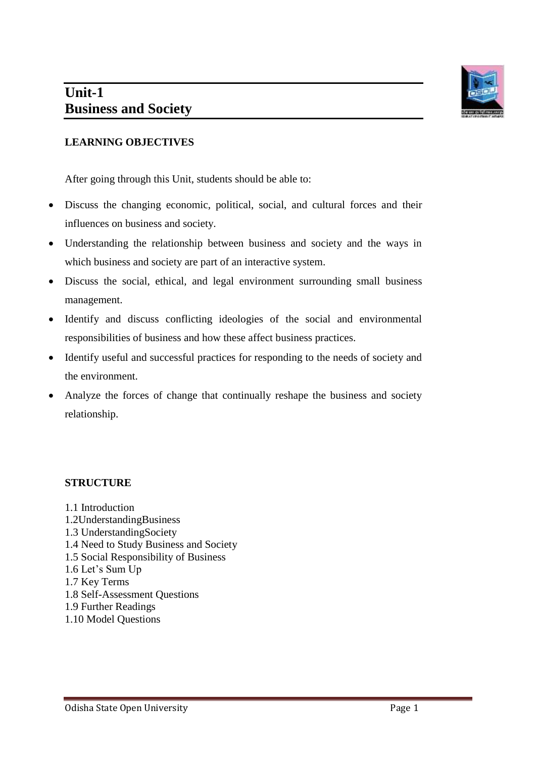

# **LEARNING OBJECTIVES**

After going through this Unit, students should be able to:

- Discuss the changing economic, political, social, and cultural forces and their influences on business and society.
- Understanding the relationship between business and society and the ways in which business and society are part of an interactive system.
- Discuss the social, ethical, and legal environment surrounding small business management.
- Identify and discuss conflicting ideologies of the social and environmental responsibilities of business and how these affect business practices.
- Identify useful and successful practices for responding to the needs of society and the environment.
- Analyze the forces of change that continually reshape the business and society relationship.

### **STRUCTURE**

1.1 Introduction 1.2UnderstandingBusiness 1.3 UnderstandingSociety 1.4 Need to Study Business and Society 1.5 Social Responsibility of Business 1.6 Let's Sum Up 1.7 Key Terms 1.8 Self-Assessment Questions 1.9 Further Readings 1.10 Model Questions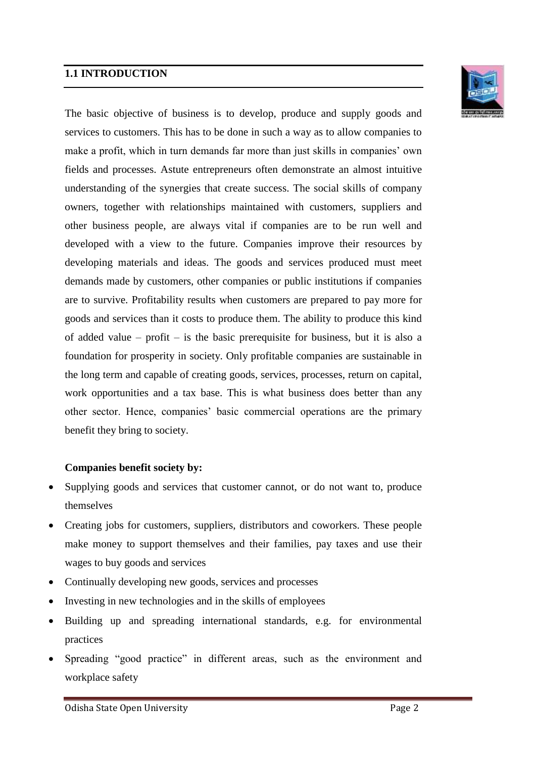### **1.1 INTRODUCTION**



The basic objective of business is to develop, produce and supply goods and services to customers. This has to be done in such a way as to allow companies to make a profit, which in turn demands far more than just skills in companies' own fields and processes. Astute entrepreneurs often demonstrate an almost intuitive understanding of the synergies that create success. The social skills of company owners, together with relationships maintained with customers, suppliers and other business people, are always vital if companies are to be run well and developed with a view to the future. Companies improve their resources by developing materials and ideas. The goods and services produced must meet demands made by customers, other companies or public institutions if companies are to survive. Profitability results when customers are prepared to pay more for goods and services than it costs to produce them. The ability to produce this kind of added value – profit – is the basic prerequisite for business, but it is also a foundation for prosperity in society. Only profitable companies are sustainable in the long term and capable of creating goods, services, processes, return on capital, work opportunities and a tax base. This is what business does better than any other sector. Hence, companies' basic commercial operations are the primary benefit they bring to society.

### **Companies benefit society by:**

- Supplying goods and services that customer cannot, or do not want to, produce themselves
- Creating jobs for customers, suppliers, distributors and coworkers. These people make money to support themselves and their families, pay taxes and use their wages to buy goods and services
- Continually developing new goods, services and processes
- Investing in new technologies and in the skills of employees
- Building up and spreading international standards, e.g. for environmental practices
- Spreading "good practice" in different areas, such as the environment and workplace safety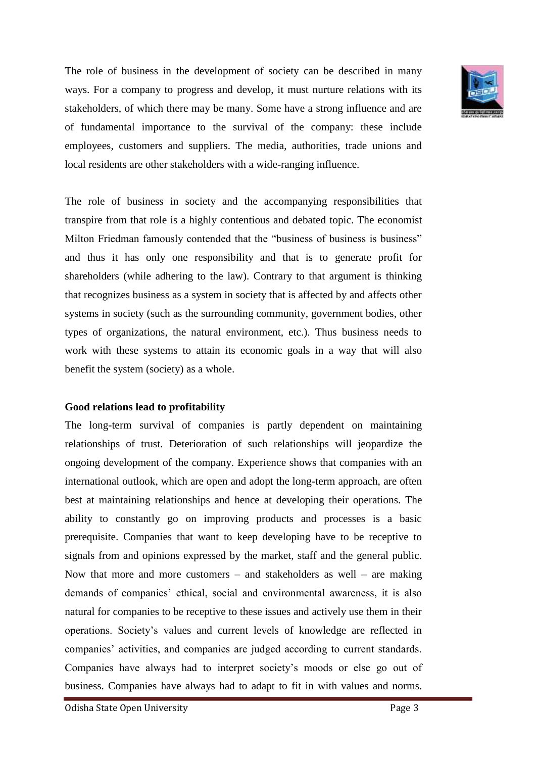The role of business in the development of society can be described in many ways. For a company to progress and develop, it must nurture relations with its stakeholders, of which there may be many. Some have a strong influence and are of fundamental importance to the survival of the company: these include employees, customers and suppliers. The media, authorities, trade unions and local residents are other stakeholders with a wide-ranging influence.

The role of business in society and the accompanying responsibilities that transpire from that role is a highly contentious and debated topic. The economist Milton Friedman famously contended that the "business of business is business" and thus it has only one responsibility and that is to generate profit for shareholders (while adhering to the law). Contrary to that argument is thinking that recognizes business as a system in society that is affected by and affects other systems in society (such as the surrounding community, government bodies, other types of organizations, the natural environment, etc.). Thus business needs to work with these systems to attain its economic goals in a way that will also benefit the system (society) as a whole.

### **Good relations lead to profitability**

The long-term survival of companies is partly dependent on maintaining relationships of trust. Deterioration of such relationships will jeopardize the ongoing development of the company. Experience shows that companies with an international outlook, which are open and adopt the long-term approach, are often best at maintaining relationships and hence at developing their operations. The ability to constantly go on improving products and processes is a basic prerequisite. Companies that want to keep developing have to be receptive to signals from and opinions expressed by the market, staff and the general public. Now that more and more customers – and stakeholders as well – are making demands of companies' ethical, social and environmental awareness, it is also natural for companies to be receptive to these issues and actively use them in their operations. Society's values and current levels of knowledge are reflected in companies' activities, and companies are judged according to current standards. Companies have always had to interpret society's moods or else go out of business. Companies have always had to adapt to fit in with values and norms.



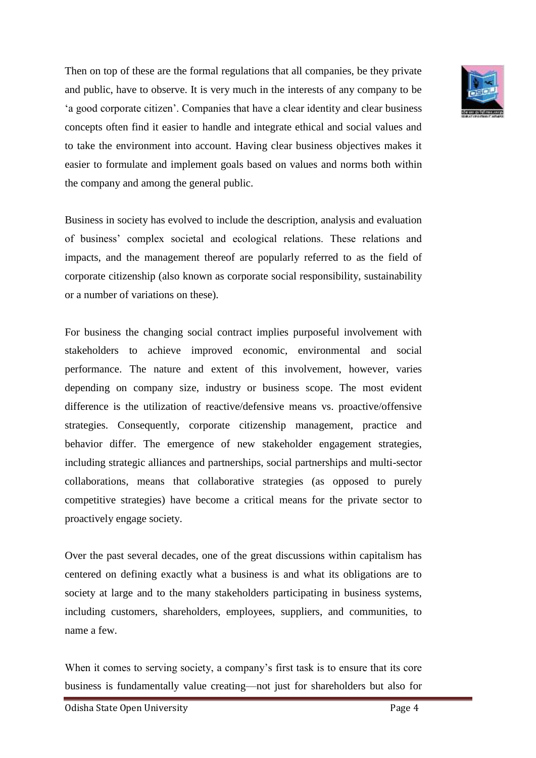

Then on top of these are the formal regulations that all companies, be they private and public, have to observe. It is very much in the interests of any company to be 'a good corporate citizen'. Companies that have a clear identity and clear business concepts often find it easier to handle and integrate ethical and social values and to take the environment into account. Having clear business objectives makes it easier to formulate and implement goals based on values and norms both within the company and among the general public.

Business in society has evolved to include the description, analysis and evaluation of business' complex societal and ecological relations. These relations and impacts, and the management thereof are popularly referred to as the field of corporate citizenship (also known as corporate social responsibility, sustainability or a number of variations on these).

For business the changing social contract implies purposeful involvement with stakeholders to achieve improved economic, environmental and social performance. The nature and extent of this involvement, however, varies depending on company size, industry or business scope. The most evident difference is the utilization of reactive/defensive means vs. proactive/offensive strategies. Consequently, corporate citizenship management, practice and behavior differ. The emergence of new stakeholder engagement strategies, including strategic alliances and partnerships, social partnerships and multi-sector collaborations, means that collaborative strategies (as opposed to purely competitive strategies) have become a critical means for the private sector to proactively engage society.

Over the past several decades, one of the great discussions within capitalism has centered on defining exactly what a business is and what its obligations are to society at large and to the many stakeholders participating in business systems, including customers, shareholders, employees, suppliers, and communities, to name a few.

When it comes to serving society, a company's first task is to ensure that its core business is fundamentally value creating—not just for shareholders but also for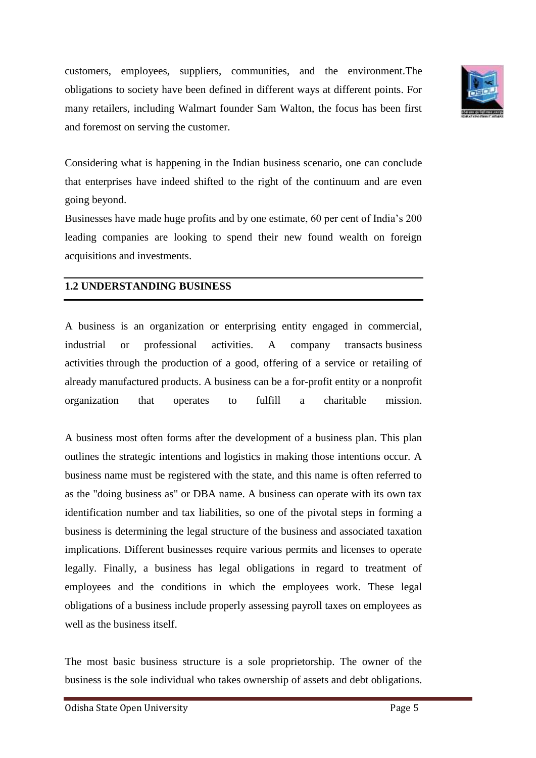customers, employees, suppliers, communities, and the environment.The obligations to society have been defined in different ways at different points. For many retailers, including Walmart founder Sam Walton, the focus has been first and foremost on serving the customer.



Considering what is happening in the Indian business scenario, one can conclude that enterprises have indeed shifted to the right of the continuum and are even going beyond.

Businesses have made huge profits and by one estimate, 60 per cent of India's 200 leading companies are looking to spend their new found wealth on foreign acquisitions and investments.

## **1.2 UNDERSTANDING BUSINESS**

A business is an organization or enterprising entity engaged in commercial, industrial or professional activities. A company transacts [business](http://www.investopedia.com/terms/b/business-activities.asp)  [activities](http://www.investopedia.com/terms/b/business-activities.asp) through the production of a good, offering of a service or retailing of already manufactured products. A business can be a for-profit entity or a nonprofit organization that operates to fulfill a charitable mission.

A business most often forms after the development of a business plan. This plan outlines the strategic intentions and logistics in making those intentions occur. A business name must be registered with the state, and this name is often referred to as the "doing business as" or DBA name. A business can operate with its own tax identification number and tax liabilities, so one of the pivotal steps in forming a business is determining the legal structure of the business and associated taxation implications. Different businesses require various permits and licenses to operate legally. Finally, a business has legal obligations in regard to treatment of employees and the conditions in which the employees work. These legal obligations of a business include properly assessing payroll taxes on employees as well as the business itself.

The most basic business structure is a sole proprietorship. The owner of the business is the sole individual who takes ownership of assets and debt obligations.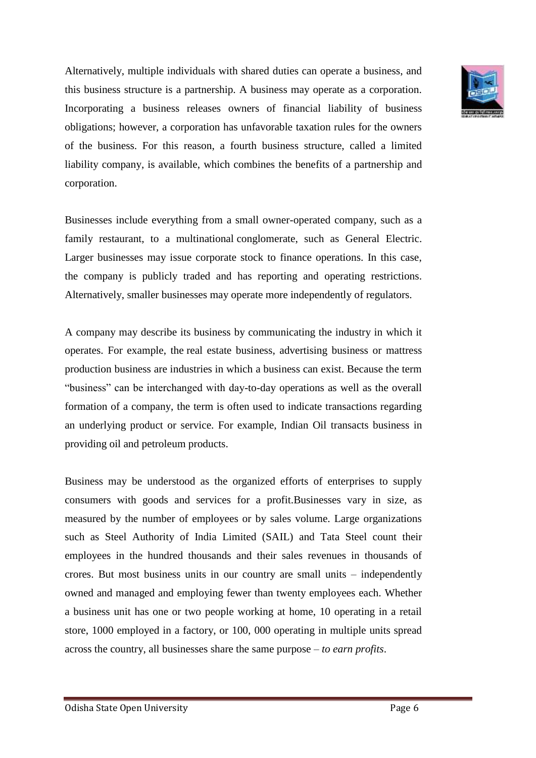

Alternatively, multiple individuals with shared duties can operate a business, and this business structure is a partnership. A business may operate as a corporation. Incorporating a business releases owners of financial liability of business obligations; however, a corporation has unfavorable taxation rules for the owners of the business. For this reason, a fourth business structure, called a limited liability company, is available, which combines the benefits of a partnership and corporation.

Businesses include everything from a small owner-operated company, such as a family restaurant, to a multinational [conglomerate,](http://www.investopedia.com/terms/c/conglomerate.asp) such as General Electric. Larger businesses may issue corporate stock to finance operations. In this case, the company is publicly traded and has reporting and operating restrictions. Alternatively, smaller businesses may operate more independently of regulators.

A company may describe its business by communicating the industry in which it operates. For example, the [real estate business,](http://www.investopedia.com/video/play/intro-to-investment-real-estate/) advertising business or mattress production business are industries in which a business can exist. Because the term "business" can be interchanged with day-to-day operations as well as the overall formation of a company, the term is often used to indicate transactions regarding an underlying product or service. For example, Indian Oil transacts business in providing oil and petroleum products.

Business may be understood as the organized efforts of enterprises to supply consumers with goods and services for a profit.Businesses vary in size, as measured by the number of employees or by sales volume. Large organizations such as Steel Authority of India Limited (SAIL) and Tata Steel count their employees in the hundred thousands and their sales revenues in thousands of crores. But most business units in our country are small units – independently owned and managed and employing fewer than twenty employees each. Whether a business unit has one or two people working at home, 10 operating in a retail store, 1000 employed in a factory, or 100, 000 operating in multiple units spread across the country, all businesses share the same purpose – *to earn profits*.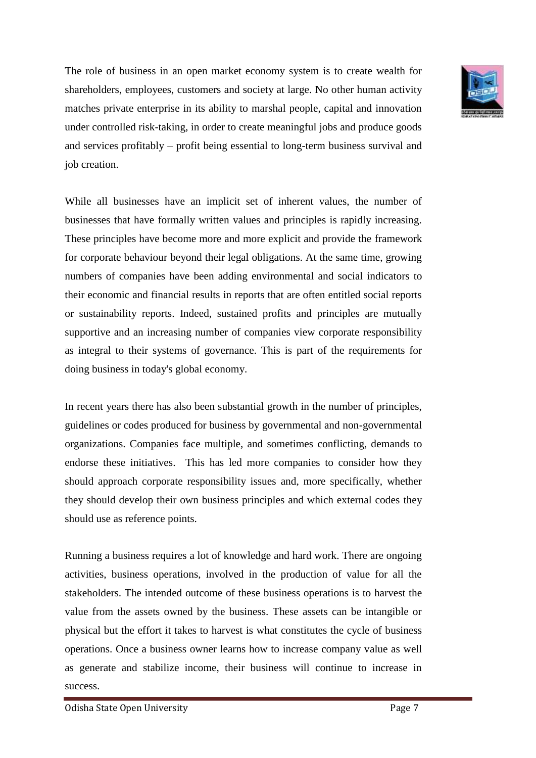

While all businesses have an implicit set of inherent values, the number of businesses that have formally written values and principles is rapidly increasing. These principles have become more and more explicit and provide the framework for corporate behaviour beyond their legal obligations. At the same time, growing numbers of companies have been adding environmental and social indicators to their economic and financial results in reports that are often entitled social reports or sustainability reports. Indeed, sustained profits and principles are mutually supportive and an increasing number of companies view corporate responsibility as integral to their systems of governance. This is part of the requirements for doing business in today's global economy.

In recent years there has also been substantial growth in the number of principles, guidelines or codes produced for business by governmental and non-governmental organizations. Companies face multiple, and sometimes conflicting, demands to endorse these initiatives. This has led more companies to consider how they should approach corporate responsibility issues and, more specifically, whether they should develop their own business principles and which external codes they should use as reference points.

Running a business requires a lot of knowledge and hard work. There are ongoing activities, business operations, involved in the production of value for all the stakeholders. The intended outcome of these business operations is to harvest the value from the assets owned by the business. These assets can be intangible or physical but the effort it takes to harvest is what constitutes the cycle of business operations. Once a business owner learns how to increase company value as well as generate and stabilize income, their business will continue to increase in success.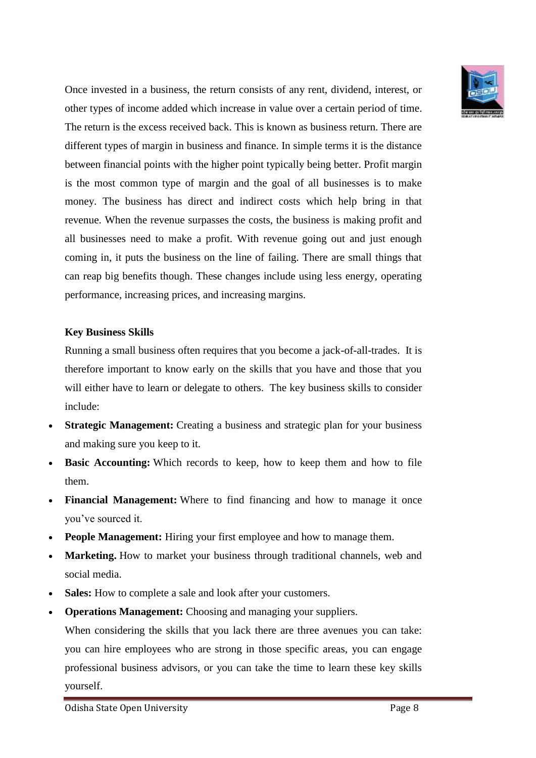

Once invested in a business, the return consists of any rent, dividend, interest, or other types of income added which increase in value over a certain period of time. The return is the excess received back. This is known as business return. There are different types of margin in business and finance. In simple terms it is the distance between financial points with the higher point typically being better. Profit margin is the most common type of margin and the goal of all businesses is to make money. The business has direct and indirect costs which help bring in that revenue. When the revenue surpasses the costs, the business is making profit and all businesses need to make a profit. With revenue going out and just enough coming in, it puts the business on the line of failing. There are small things that can reap big benefits though. These changes include using less energy, operating performance, increasing prices, and increasing margins.

## **Key Business Skills**

Running a small business often requires that you become a jack-of-all-trades. It is therefore important to know early on the skills that you have and those that you will either have to learn or delegate to others. The key business skills to consider include:

- **Strategic Management:** Creating a business and strategic plan for your business and making sure you keep to it.
- **Basic Accounting:** Which records to keep, how to keep them and how to file them.
- **Financial Management:** Where to find financing and how to manage it once you've sourced it.
- **People Management:** Hiring your first employee and how to manage them.
- **Marketing.** How to market your business through traditional channels, web and social media.
- **Sales:** How to complete a sale and look after your customers.
- **Operations Management:** Choosing and managing your suppliers.

When considering the skills that you lack there are three avenues you can take: you can hire employees who are strong in those specific areas, you can engage professional business advisors, or you can take the time to learn these key skills yourself.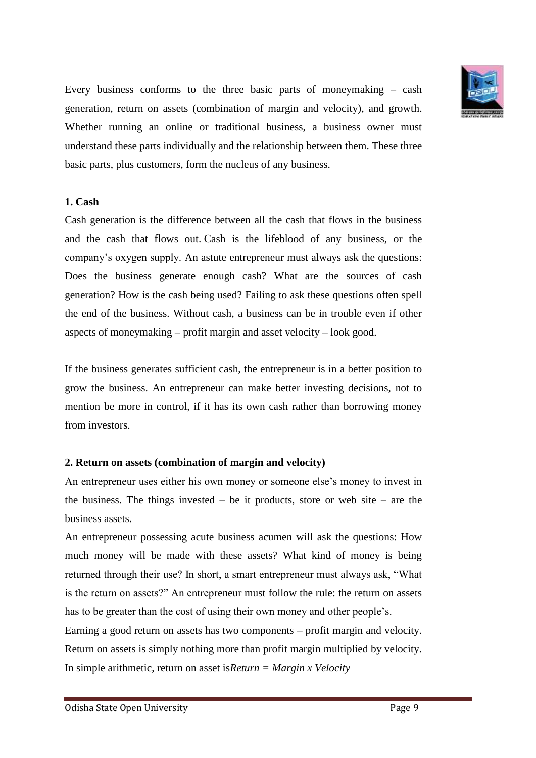

Every business conforms to the three basic parts of moneymaking – cash generation, return on assets (combination of margin and velocity), and growth. Whether running an online or traditional business, a business owner must understand these parts individually and the relationship between them. These three basic parts, plus customers, form the nucleus of any business.

### **1. Cash**

Cash generation is the difference between all the cash that flows in the business and the cash that flows out. Cash is the lifeblood of any business, or the company's oxygen supply. An astute entrepreneur must always ask the questions: Does the business generate enough cash? What are the sources of cash generation? How is the cash being used? Failing to ask these questions often spell the end of the business. Without cash, a business can be in trouble even if other aspects of moneymaking – profit margin and asset velocity – look good.

If the business generates sufficient cash, the entrepreneur is in a better position to grow the business. An entrepreneur can make better investing decisions, not to mention be more in control, if it has its own cash rather than borrowing money from investors.

### **2. Return on assets (combination of margin and velocity)**

An entrepreneur uses either his own money or someone else's money to invest in the business. The things invested  $-$  be it products, store or web site  $-$  are the business assets.

An entrepreneur possessing acute business acumen will ask the questions: How much money will be made with these assets? What kind of money is being returned through their use? In short, a smart entrepreneur must always ask, "What is the return on assets?" An entrepreneur must follow the rule: the return on assets has to be greater than the cost of using their own money and other people's.

Earning a good return on assets has two components – profit margin and velocity. Return on assets is simply nothing more than profit margin multiplied by velocity. In simple arithmetic, return on asset is*Return = Margin x Velocity*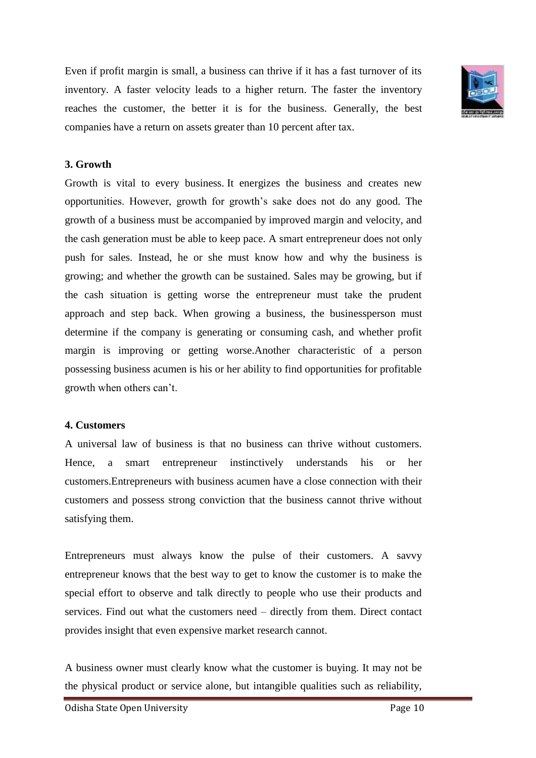Even if profit margin is small, a business can thrive if it has a fast turnover of its inventory. A faster velocity leads to a higher return. The faster the inventory reaches the customer, the better it is for the business. Generally, the best companies have a return on assets greater than 10 percent after tax.



#### **3. Growth**

Growth is vital to every business. It energizes the business and creates new opportunities. However, growth for growth's sake does not do any good. The growth of a business must be accompanied by improved margin and velocity, and the cash generation must be able to keep pace. A smart entrepreneur does not only push for sales. Instead, he or she must know how and why the business is growing; and whether the growth can be sustained. Sales may be growing, but if the cash situation is getting worse the entrepreneur must take the prudent approach and step back. When growing a business, the businessperson must determine if the company is generating or consuming cash, and whether profit margin is improving or getting worse.Another characteristic of a person possessing business acumen is his or her ability to find opportunities for profitable growth when others can't.

#### **4. Customers**

A universal law of business is that no business can thrive without customers. Hence, a smart entrepreneur instinctively understands his or her customers.Entrepreneurs with business acumen have a close connection with their customers and possess strong conviction that the business cannot thrive without satisfying them.

Entrepreneurs must always know the pulse of their customers. A savvy entrepreneur knows that the best way to get to know the customer is to make the special effort to observe and talk directly to people who use their products and services. Find out what the customers need – directly from them. Direct contact provides insight that even expensive market research cannot.

A business owner must clearly know what the customer is buying. It may not be the physical product or service alone, but intangible qualities such as reliability,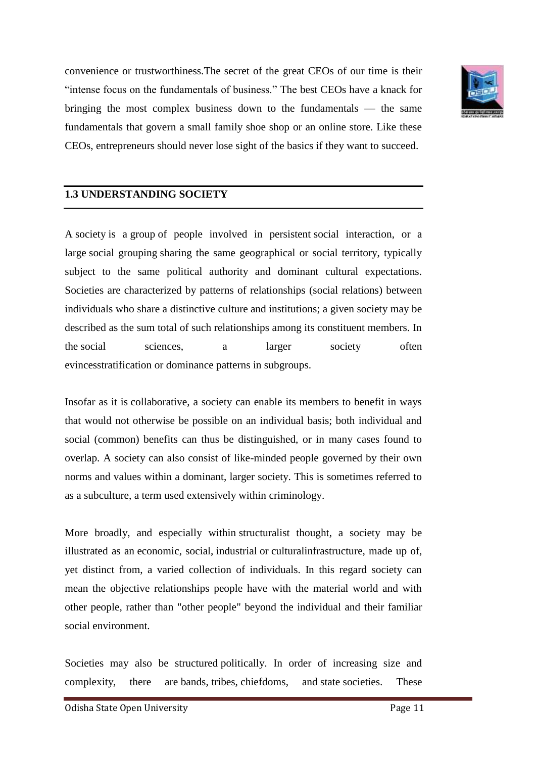

convenience or trustworthiness.The secret of the great CEOs of our time is their "intense focus on the fundamentals of business." The best CEOs have a knack for bringing the most complex business down to the fundamentals — the same fundamentals that govern a small family shoe shop or an online store. Like these CEOs, entrepreneurs should never lose sight of the basics if they want to succeed.

# **1.3 UNDERSTANDING SOCIETY**

A society is a [group](https://en.wikipedia.org/wiki/Social_group) of people involved in persistent [social interaction,](https://en.wikipedia.org/wiki/Social_relation) or a large [social grouping](https://en.wikipedia.org/wiki/Social_group) sharing the same geographical or social territory, typically subject to the same political authority and dominant cultural expectations. Societies are characterized by patterns of relationships [\(social relations\)](https://en.wikipedia.org/wiki/Social_relation) between individuals who share a distinctive [culture](https://en.wikipedia.org/wiki/Culture) and [institutions;](https://en.wikipedia.org/wiki/Institutions) a given society may be described as the sum total of such relationships among its constituent members. In the [social sciences,](https://en.wikipedia.org/wiki/Social_science) a larger society often evince[sstratification](https://en.wikipedia.org/wiki/Social_stratification) or [dominance](https://en.wikipedia.org/wiki/Dominance_hierarchy) patterns in subgroups.

Insofar as it is [collaborative,](https://en.wikipedia.org/wiki/Collaborative) a society can enable its members to benefit in ways that would not otherwise be possible on an individual basis; both individual and social (common) benefits can thus be distinguished, or in many cases found to overlap. A society can also consist of like-minded people governed by their own norms and values within a dominant, larger society. This is sometimes referred to as a [subculture,](https://en.wikipedia.org/wiki/Subculture) a term used extensively within [criminology.](https://en.wikipedia.org/wiki/Criminology)

More broadly, and especially within [structuralist thought,](https://en.wikipedia.org/wiki/Structuralism) a society may be illustrated as an [economic,](https://en.wikipedia.org/wiki/Economic) social, [industrial](https://en.wikipedia.org/wiki/Industry) or [culturalinfrastructure,](https://en.wikipedia.org/wiki/Culture) made up of, yet distinct from, a varied collection of individuals. In this regard society can mean the objective relationships people have with the material world and with other people, rather than "other people" beyond the individual and their familiar social environment.

Societies may also be structured [politically.](https://en.wikipedia.org/wiki/Politics) In order of increasing size and complexity, there are [bands,](https://en.wikipedia.org/wiki/Band_society) [tribes,](https://en.wikipedia.org/wiki/Tribe) [chiefdoms,](https://en.wikipedia.org/wiki/Chiefdom) and [state](https://en.wikipedia.org/wiki/State_(polity)) societies. These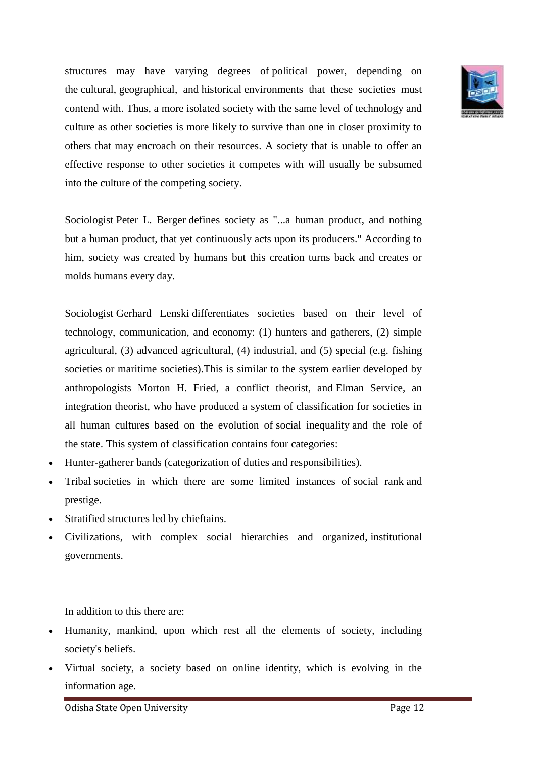

[Sociologist](https://en.wikipedia.org/wiki/Sociology) [Peter L. Berger](https://en.wikipedia.org/wiki/Peter_L._Berger) defines society as "...a human product, and nothing but a human product, that yet continuously acts upon its producers." According to him, society was created by humans but this creation turns back and creates or molds humans every day.

Sociologist [Gerhard Lenski](https://en.wikipedia.org/wiki/Gerhard_Lenski) differentiates societies based on their level of technology, communication, and economy: (1) hunters and gatherers, (2) simple agricultural, (3) advanced agricultural, (4) industrial, and (5) special (e.g. fishing societies or maritime societies).This is similar to the system earlier developed by anthropologists Morton H. Fried, a conflict theorist, and [Elman Service,](https://en.wikipedia.org/wiki/Elman_Service) an integration theorist, who have produced a system of classification for societies in all human cultures based on the evolution of [social inequality](https://en.wikipedia.org/wiki/Social_inequality) and the role of the [state.](https://en.wikipedia.org/wiki/State_(polity)) This system of classification contains four categories:

- [Hunter-gatherer](https://en.wikipedia.org/wiki/Hunter-gatherer) bands (categorization of duties and responsibilities).
- [Tribal](https://en.wikipedia.org/wiki/Tribe) societies in which there are some limited instances of [social rank](https://en.wikipedia.org/wiki/Social_rank) and prestige.
- [Stratified](https://en.wikipedia.org/wiki/Social_stratification) structures led by [chieftains.](https://en.wikipedia.org/wiki/Tribal_chief)
- [Civilizations,](https://en.wikipedia.org/wiki/Civilization) with complex social hierarchies and organized, [institutional](https://en.wikipedia.org/wiki/Government)  [governments.](https://en.wikipedia.org/wiki/Government)

In addition to this there are:

- [Humanity,](https://en.wikipedia.org/wiki/All_humanity) mankind, upon which rest all the elements of society, including society's beliefs.
- [Virtual society,](https://en.wikipedia.org/wiki/Sociology_of_the_Internet) a society based on online identity, which is evolving in the information age.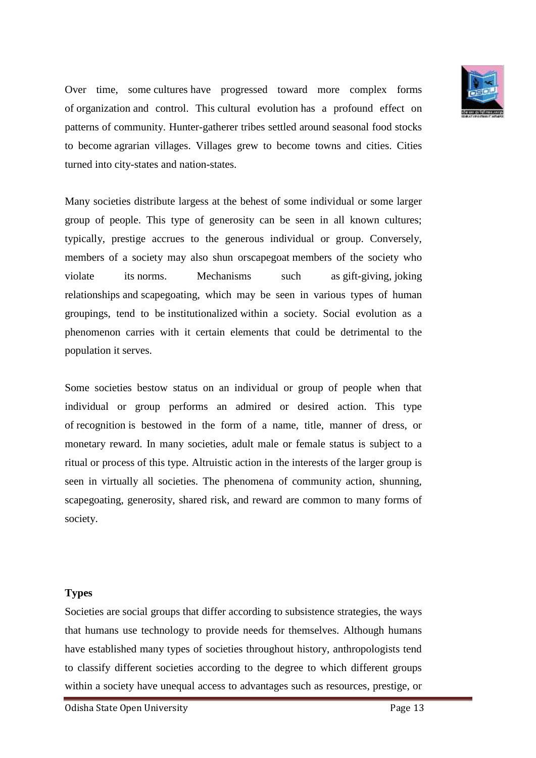

Over time, some [cultures](https://en.wikipedia.org/wiki/Cultures) have progressed toward more complex forms of [organization](https://en.wikipedia.org/wiki/Organization) and control. This [cultural evolution](https://en.wikipedia.org/wiki/Cultural_evolution) has a profound effect on patterns of community. Hunter-gatherer tribes settled around seasonal food stocks to become [agrarian villages.](https://en.wikipedia.org/wiki/Neolithic_Revolution) Villages grew to become towns and cities. Cities turned into [city-states](https://en.wikipedia.org/wiki/City-state) and [nation-states.](https://en.wikipedia.org/wiki/Nation-state)

Many societies distribute largess at the behest of some individual or some larger group of people. This type of generosity can be seen in all known cultures; typically, prestige accrues to the generous individual or group. Conversely, members of a society may also shun o[rscapegoat](https://en.wikipedia.org/wiki/Scapegoat) members of the society who violate its [norms.](https://en.wikipedia.org/wiki/Norm_(sociology)) Mechanisms such as [gift-giving,](https://en.wikipedia.org/wiki/Reciprocity_(cultural_anthropology)) [joking](https://en.wikipedia.org/wiki/Joking_relationship)  [relationships](https://en.wikipedia.org/wiki/Joking_relationship) and [scapegoating,](https://en.wikipedia.org/wiki/Scapegoating) which may be seen in various types of human groupings, tend to be [institutionalized](https://en.wikipedia.org/wiki/Institution) within a society. Social evolution as a phenomenon carries with it certain elements that could be detrimental to the population it serves.

Some societies bestow status on an individual or group of people when that individual or group performs an admired or desired action. This type of [recognition](https://en.wikipedia.org/wiki/Recognition_(sociology)) is bestowed in the form of a name, title, manner of dress, or monetary reward. In many societies, adult male or female status is subject to a ritual or process of this type. Altruistic action in the interests of the larger group is seen in virtually all societies. The phenomena of community action, shunning, scapegoating, generosity, shared risk, and reward are common to many forms of society.

#### **Types**

Societies are [social groups](https://en.wikipedia.org/wiki/Social_groups) that differ according to [subsistence strategies,](https://en.wikipedia.org/wiki/List_of_subsistence_techniques) the ways that humans use technology to provide needs for themselves. Although humans have established many types of societies throughout history, anthropologists tend to classify different societies according to the degree to which different groups within a society have unequal access to advantages such as resources, prestige, or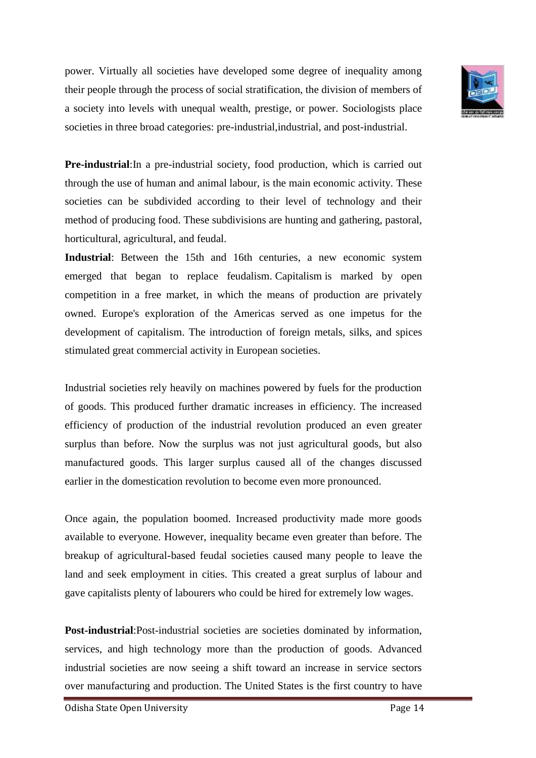

power. Virtually all societies have developed some degree of inequality among their people through the process of social stratification, the division of members of a society into levels with unequal wealth, prestige, or power. Sociologists place societies in three broad categories: [pre-industrial](https://en.wikipedia.org/wiki/Pre-industrial)[,industrial,](https://en.wikipedia.org/wiki/Industrial_society) and [post-industrial.](https://en.wikipedia.org/wiki/Postindustrial)

**Pre-industrial**: In a pre-industrial society, food production, which is carried out through the use of human and animal [labour,](https://en.wikipedia.org/wiki/Manual_labour) is the main economic activity. These societies can be subdivided according to their level of technology and their method of producing food. These subdivisions are hunting and gathering, pastoral, horticultural, agricultural, and feudal.

**Industrial**: Between the 15th and 16th centuries, a new economic system emerged that began to replace feudalism. [Capitalism](https://en.wikipedia.org/wiki/Capitalism) is marked by open competition in a free market, in which the means of production are privately owned. Europe's exploration of the Americas served as one impetus for the development of capitalism. The introduction of foreign metals, silks, and spices stimulated great commercial activity in European societies.

Industrial societies rely heavily on machines powered by fuels for the production of goods. This produced further dramatic increases in efficiency. The increased efficiency of production of the industrial revolution produced an even greater surplus than before. Now the surplus was not just agricultural goods, but also manufactured goods. This larger surplus caused all of the changes discussed earlier in the domestication revolution to become even more pronounced.

Once again, the population boomed. Increased productivity made more goods available to everyone. However, inequality became even greater than before. The breakup of agricultural-based feudal societies caused many people to leave the land and seek employment in cities. This created a great surplus of labour and gave capitalists plenty of labourers who could be hired for extremely low wages.

**Post-industrial**:Post-industrial societies are societies dominated by information, services, and high technology more than the production of goods. Advanced industrial societies are now seeing a shift toward an increase in service sectors over manufacturing and production. The United States is the first country to have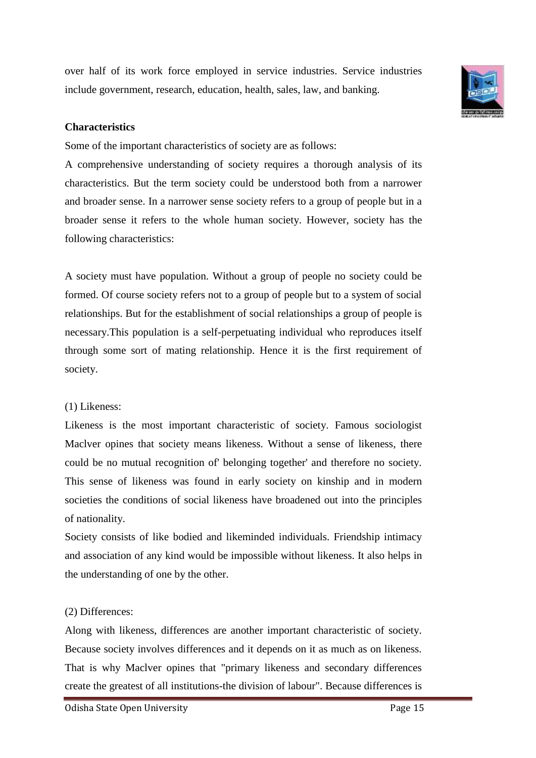over half of its work force employed in service industries. Service industries include government, research, education, health, sales, law, and banking.



## **Characteristics**

Some of the important characteristics of society are as follows:

A comprehensive understanding of society requires a thorough analysis of its characteristics. But the term society could be understood both from a narrower and broader sense. In a narrower sense society refers to a group of people but in a broader sense it refers to the whole human society. However, society has the following characteristics:

A society must have population. Without a group of people no society could be formed. Of course society refers not to a group of people but to a system of social relationships. But for the establishment of social relationships a group of people is necessary.This population is a self-perpetuating individual who reproduces itself through some sort of mating relationship. Hence it is the first requirement of society.

### (1) Likeness:

Likeness is the most important characteristic of society. Famous sociologist Maclver opines that society means likeness. Without a sense of likeness, there could be no mutual recognition of' belonging together' and therefore no society. This sense of likeness was found in early society on kinship and in modern societies the conditions of social likeness have broadened out into the principles of nationality.

Society consists of like bodied and likeminded individuals. Friendship intimacy and association of any kind would be impossible without likeness. It also helps in the understanding of one by the other.

### (2) Differences:

Along with likeness, differences are another important characteristic of society. Because society involves differences and it depends on it as much as on likeness. That is why Maclver opines that "primary likeness and secondary differences create the greatest of all institutions-the division of labour". Because differences is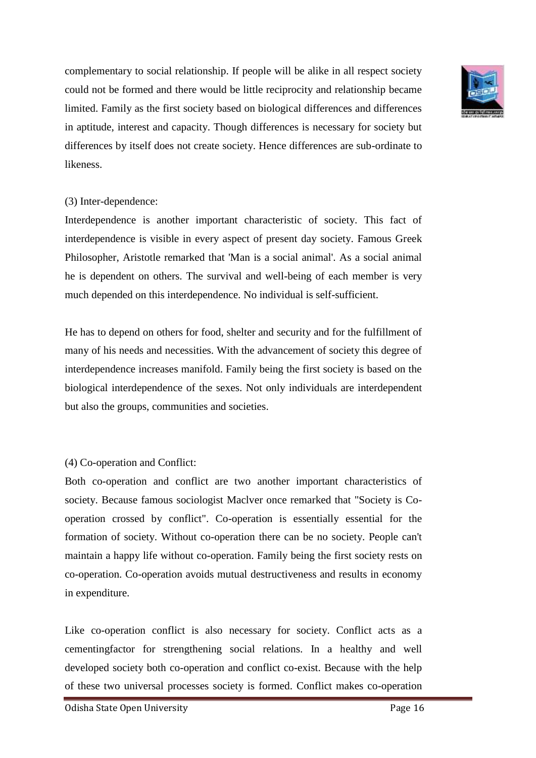



Interdependence is another important characteristic of society. This fact of interdependence is visible in every aspect of present day society. Famous Greek Philosopher, Aristotle remarked that 'Man is a social animal'. As a social animal he is dependent on others. The survival and well-being of each member is very much depended on this interdependence. No individual is self-sufficient.

He has to depend on others for food, shelter and security and for the fulfillment of many of his needs and necessities. With the advancement of society this degree of interdependence increases manifold. Family being the first society is based on the biological interdependence of the sexes. Not only individuals are interdependent but also the groups, communities and societies.

(4) Co-operation and Conflict:

Both co-operation and conflict are two another important characteristics of society. Because famous sociologist Maclver once remarked that "Society is Cooperation crossed by conflict". Co-operation is essentially essential for the formation of society. Without co-operation there can be no society. People can't maintain a happy life without co-operation. Family being the first society rests on co-operation. Co-operation avoids mutual destructiveness and results in economy in expenditure.

Like co-operation conflict is also necessary for society. Conflict acts as a cementingfactor for strengthening social relations. In a healthy and well developed society both co-operation and conflict co-exist. Because with the help of these two universal processes society is formed. Conflict makes co-operation

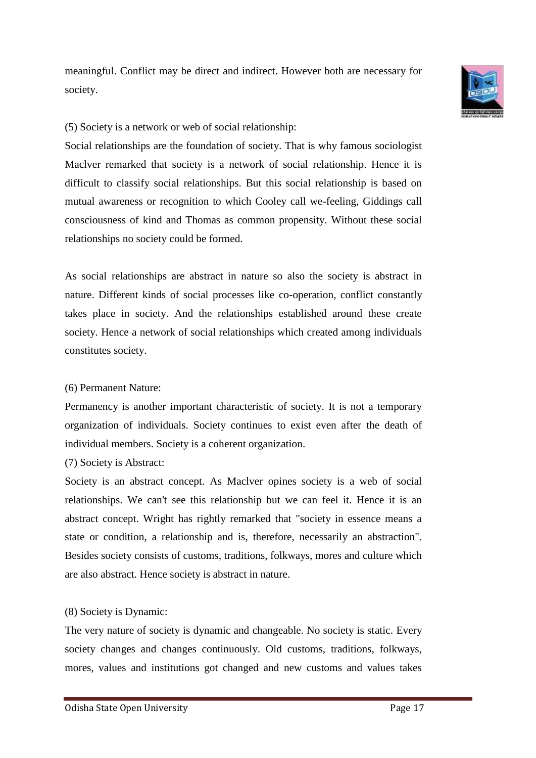meaningful. Conflict may be direct and indirect. However both are necessary for society.



## (5) Society is a network or web of social relationship:

Social relationships are the foundation of society. That is why famous sociologist Maclver remarked that society is a network of social relationship. Hence it is difficult to classify social relationships. But this social relationship is based on mutual awareness or recognition to which Cooley call we-feeling, Giddings call consciousness of kind and Thomas as common propensity. Without these social relationships no society could be formed.

As social relationships are abstract in nature so also the society is abstract in nature. Different kinds of social processes like co-operation, conflict constantly takes place in society. And the relationships established around these create society. Hence a network of social relationships which created among individuals constitutes society.

### (6) Permanent Nature:

Permanency is another important characteristic of society. It is not a temporary organization of individuals. Society continues to exist even after the death of individual members. Society is a coherent organization.

## (7) Society is Abstract:

Society is an abstract concept. As Maclver opines society is a web of social relationships. We can't see this relationship but we can feel it. Hence it is an abstract concept. Wright has rightly remarked that "society in essence means a state or condition, a relationship and is, therefore, necessarily an abstraction". Besides society consists of customs, traditions, folkways, mores and culture which are also abstract. Hence society is abstract in nature.

### (8) Society is Dynamic:

The very nature of society is dynamic and changeable. No society is static. Every society changes and changes continuously. Old customs, traditions, folkways, mores, values and institutions got changed and new customs and values takes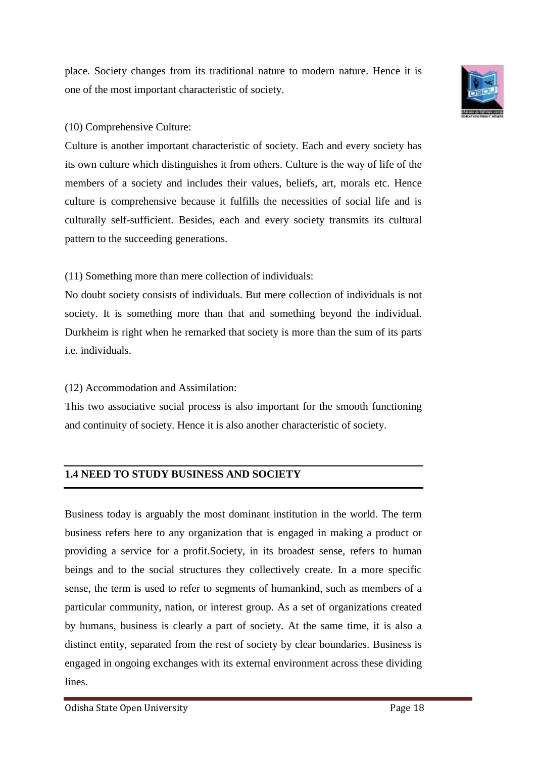place. Society changes from its traditional nature to modern nature. Hence it is one of the most important characteristic of society.



## (10) Comprehensive Culture:

Culture is another important characteristic of society. Each and every society has its own culture which distinguishes it from others. Culture is the way of life of the members of a society and includes their values, beliefs, art, morals etc. Hence culture is comprehensive because it fulfills the necessities of social life and is culturally self-sufficient. Besides, each and every society transmits its cultural pattern to the succeeding generations.

(11) Something more than mere collection of individuals:

No doubt society consists of individuals. But mere collection of individuals is not society. It is something more than that and something beyond the individual. Durkheim is right when he remarked that society is more than the sum of its parts i.e. individuals.

(12) Accommodation and Assimilation:

This two associative social process is also important for the smooth functioning and continuity of society. Hence it is also another characteristic of society.

## **1.4 NEED TO STUDY BUSINESS AND SOCIETY**

Business today is arguably the most dominant institution in the world. The term business refers here to any organization that is engaged in making a product or providing a service for a profit.Society, in its broadest sense, refers to human beings and to the social structures they collectively create. In a more specific sense, the term is used to refer to segments of humankind, such as members of a particular community, nation, or interest group. As a set of organizations created by humans, business is clearly a part of society. At the same time, it is also a distinct entity, separated from the rest of society by clear boundaries. Business is engaged in ongoing exchanges with its external environment across these dividing lines.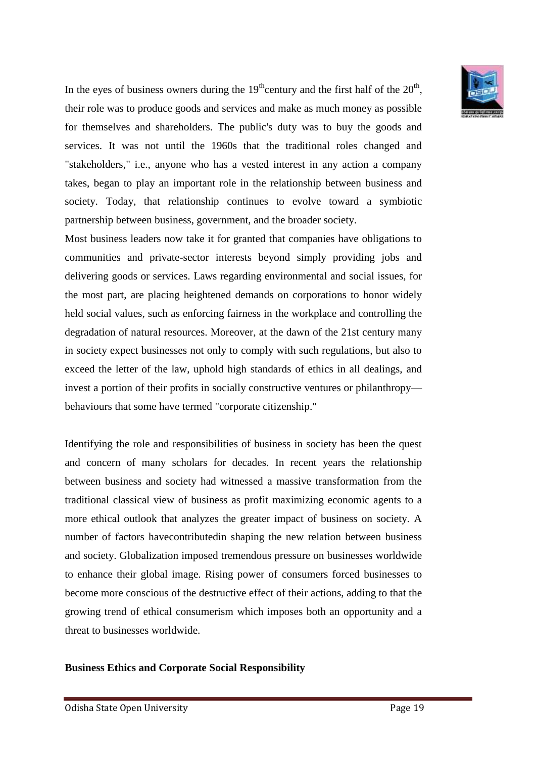

In the eyes of business owners during the  $19<sup>th</sup>$ century and the first half of the  $20<sup>th</sup>$ , their role was to produce goods and services and make as much money as possible for themselves and shareholders. The public's duty was to buy the goods and services. It was not until the 1960s that the traditional roles changed and "stakeholders," i.e., anyone who has a vested interest in any action a company takes, began to play an important role in the relationship between business and society. Today, that relationship continues to evolve toward a symbiotic partnership between business, government, and the broader society.

Most business leaders now take it for granted that companies have obligations to communities and private-sector interests beyond simply providing jobs and delivering goods or services. Laws regarding environmental and social issues, for the most part, are placing heightened demands on corporations to honor widely held social values, such as enforcing fairness in the workplace and controlling the degradation of natural resources. Moreover, at the dawn of the 21st century many in society expect businesses not only to comply with such regulations, but also to exceed the letter of the law, uphold high standards of ethics in all dealings, and invest a portion of their profits in socially constructive ventures or philanthropy behaviours that some have termed "corporate citizenship."

Identifying the role and responsibilities of business in society has been the quest and concern of many scholars for decades. In recent years the relationship between business and society had witnessed a massive transformation from the traditional classical view of business as profit maximizing economic agents to a more ethical outlook that analyzes the greater impact of business on society. A number of factors havecontributedin shaping the new relation between business and society. Globalization imposed tremendous pressure on businesses worldwide to enhance their global image. Rising power of consumers forced businesses to become more conscious of the destructive effect of their actions, adding to that the growing trend of ethical consumerism which imposes both an opportunity and a threat to businesses worldwide.

### **Business Ethics and Corporate Social Responsibility**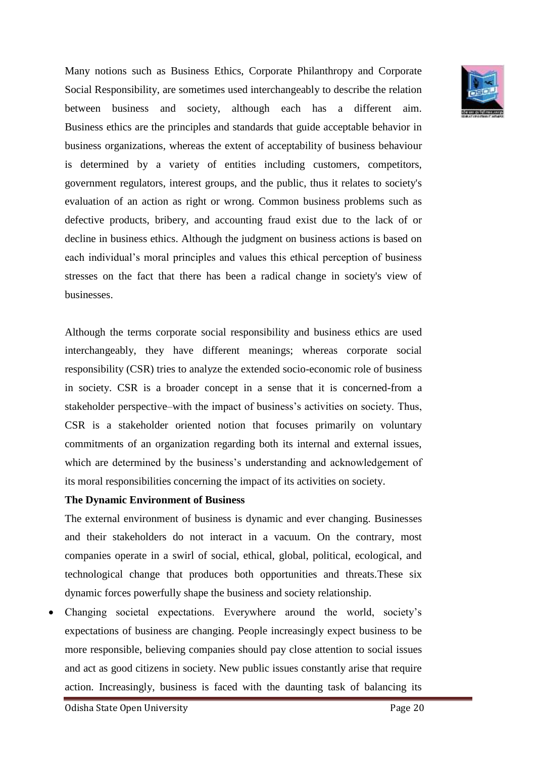Many notions such as Business Ethics, Corporate Philanthropy and Corporate Social Responsibility, are sometimes used interchangeably to describe the relation between business and society, although each has a different aim. Business ethics are the principles and standards that guide acceptable behavior in business organizations, whereas the extent of acceptability of business behaviour is determined by a variety of entities including customers, competitors, government regulators, interest groups, and the public, thus it relates to society's evaluation of an action as right or wrong. Common business problems such as defective products, bribery, and accounting fraud exist due to the lack of or decline in business ethics. Although the judgment on business actions is based on each individual's moral principles and values this ethical perception of business stresses on the fact that there has been a radical change in society's view of businesses.

Although the terms corporate social responsibility and business ethics are used interchangeably, they have different meanings; whereas corporate social responsibility (CSR) tries to analyze the extended socio-economic role of business in society. CSR is a broader concept in a sense that it is concerned-from a stakeholder perspective–with the impact of business's activities on society. Thus, CSR is a stakeholder oriented notion that focuses primarily on voluntary commitments of an organization regarding both its internal and external issues, which are determined by the business's understanding and acknowledgement of its moral responsibilities concerning the impact of its activities on society.

#### **The Dynamic Environment of Business**

The external environment of business is dynamic and ever changing. Businesses and their stakeholders do not interact in a vacuum. On the contrary, most companies operate in a swirl of social, ethical, global, political, ecological, and technological change that produces both opportunities and threats.These six dynamic forces powerfully shape the business and society relationship.

 Changing societal expectations. Everywhere around the world, society's expectations of business are changing. People increasingly expect business to be more responsible, believing companies should pay close attention to social issues and act as good citizens in society. New public issues constantly arise that require action. Increasingly, business is faced with the daunting task of balancing its

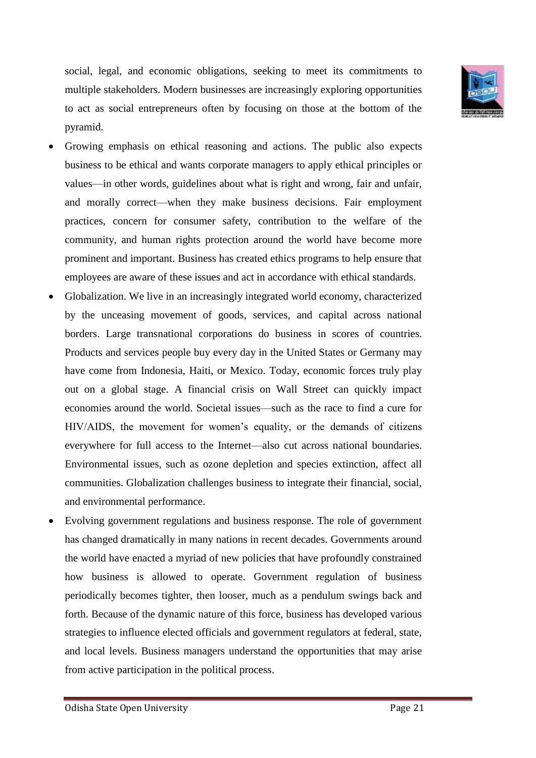

social, legal, and economic obligations, seeking to meet its commitments to multiple stakeholders. Modern businesses are increasingly exploring opportunities to act as social entrepreneurs often by focusing on those at the bottom of the pyramid.

- Growing emphasis on ethical reasoning and actions. The public also expects business to be ethical and wants corporate managers to apply ethical principles or values—in other words, guidelines about what is right and wrong, fair and unfair, and morally correct—when they make business decisions. Fair employment practices, concern for consumer safety, contribution to the welfare of the community, and human rights protection around the world have become more prominent and important. Business has created ethics programs to help ensure that employees are aware of these issues and act in accordance with ethical standards.
- Globalization. We live in an increasingly integrated world economy, characterized by the unceasing movement of goods, services, and capital across national borders. Large transnational corporations do business in scores of countries. Products and services people buy every day in the United States or Germany may have come from Indonesia, Haiti, or Mexico. Today, economic forces truly play out on a global stage. A financial crisis on Wall Street can quickly impact economies around the world. Societal issues—such as the race to find a cure for HIV/AIDS, the movement for women's equality, or the demands of citizens everywhere for full access to the Internet—also cut across national boundaries. Environmental issues, such as ozone depletion and species extinction, affect all communities. Globalization challenges business to integrate their financial, social, and environmental performance.
- Evolving government regulations and business response. The role of government has changed dramatically in many nations in recent decades. Governments around the world have enacted a myriad of new policies that have profoundly constrained how business is allowed to operate. Government regulation of business periodically becomes tighter, then looser, much as a pendulum swings back and forth. Because of the dynamic nature of this force, business has developed various strategies to influence elected officials and government regulators at federal, state, and local levels. Business managers understand the opportunities that may arise from active participation in the political process.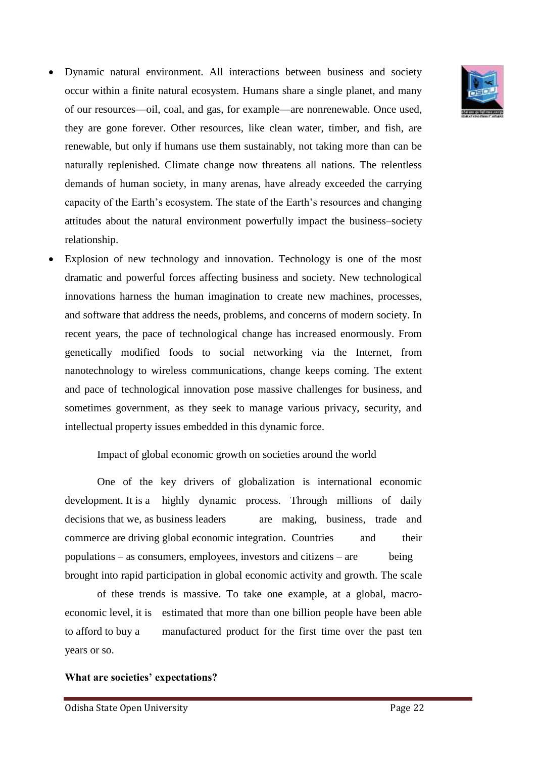

- Dynamic natural environment. All interactions between business and society occur within a finite natural ecosystem. Humans share a single planet, and many of our resources—oil, coal, and gas, for example—are nonrenewable. Once used, they are gone forever. Other resources, like clean water, timber, and fish, are renewable, but only if humans use them sustainably, not taking more than can be naturally replenished. Climate change now threatens all nations. The relentless demands of human society, in many arenas, have already exceeded the carrying capacity of the Earth's ecosystem. The state of the Earth's resources and changing attitudes about the natural environment powerfully impact the business–society relationship.
- Explosion of new technology and innovation. Technology is one of the most dramatic and powerful forces affecting business and society. New technological innovations harness the human imagination to create new machines, processes, and software that address the needs, problems, and concerns of modern society. In recent years, the pace of technological change has increased enormously. From genetically modified foods to social networking via the Internet, from nanotechnology to wireless communications, change keeps coming. The extent and pace of technological innovation pose massive challenges for business, and sometimes government, as they seek to manage various privacy, security, and intellectual property issues embedded in this dynamic force.

Impact of global economic growth on societies around the world

One of the key drivers of globalization is international economic development. It is a highly dynamic process. Through millions of daily decisions that we, as business leaders are making, business, trade and commerce are driving global economic integration. Countries and their populations – as consumers, employees, investors and citizens – are being brought into rapid participation in global economic activity and growth. The scale

of these trends is massive. To take one example, at a global, macroeconomic level, it is estimated that more than one billion people have been able to afford to buy a manufactured product for the first time over the past ten years or so.

#### **What are societies' expectations?**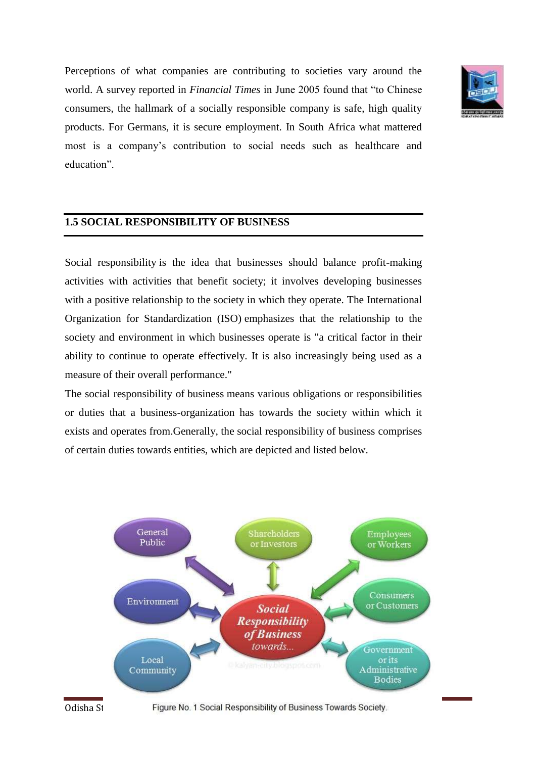Perceptions of what companies are contributing to societies vary around the world. A survey reported in *Financial Times* in June 2005 found that "to Chinese consumers, the hallmark of a socially responsible company is safe, high quality products. For Germans, it is secure employment. In South Africa what mattered most is a company's contribution to social needs such as healthcare and education".



## **1.5 SOCIAL RESPONSIBILITY OF BUSINESS**

[Social responsibility](http://www.investopedia.com/video/play/what-corporate-social-responsibility/) is the idea that businesses should balance profit-making activities with activities that benefit society; it involves developing businesses with a positive relationship to the society in which they operate. The International Organization for Standardization (ISO) emphasizes that the relationship to the society and environment in which businesses operate is "a critical factor in their ability to continue to operate effectively. It is also increasingly being used as a measure of their overall performance."

The social responsibility of [business](http://kalyan-city.blogspot.com/2011/03/what-is-business-meaning-definitions.html) means various obligations or responsibilities or duties that a business-organization has towards the society within which it exists and operates from.Generally, the social responsibility of business comprises of certain duties towards entities, which are depicted and listed below.

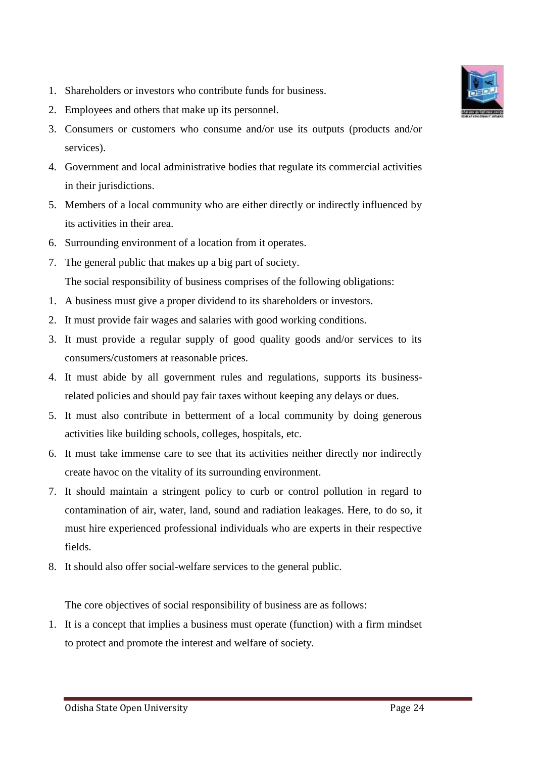- 1. Shareholders or investors who contribute funds for business.
- 2. Employees and others that make up its personnel.
- 3. Consumers or customers who consume and/or use its outputs (products and/or services).
- 4. Government and local administrative bodies that regulate its commercial activities in their jurisdictions.
- 5. Members of a local community who are either directly or indirectly influenced by its activities in their area.
- 6. Surrounding environment of a location from it operates.
- 7. The general public that makes up a big part of society. The social responsibility of business comprises of the following obligations:
- 1. A business must give a proper dividend to its shareholders or investors.
- 2. It must provide fair wages and salaries with good working conditions.
- 3. It must provide a regular supply of good quality goods and/or services to its consumers/customers at reasonable prices.
- 4. It must abide by all government rules and regulations, supports its businessrelated policies and should pay fair taxes without keeping any delays or dues.
- 5. It must also contribute in betterment of a local community by doing generous activities like building schools, colleges, hospitals, etc.
- 6. It must take immense care to see that its activities neither directly nor indirectly create havoc on the vitality of its surrounding environment.
- 7. It should maintain a stringent policy to curb or control pollution in regard to contamination of air, water, land, sound and radiation leakages. Here, to do so, it must hire experienced professional individuals who are experts in their respective fields.
- 8. It should also offer social-welfare services to the general public.

The core objectives of social responsibility of business are as follows:

1. It is a concept that implies a business must operate (function) with a firm mindset to protect and promote the interest and welfare of society.

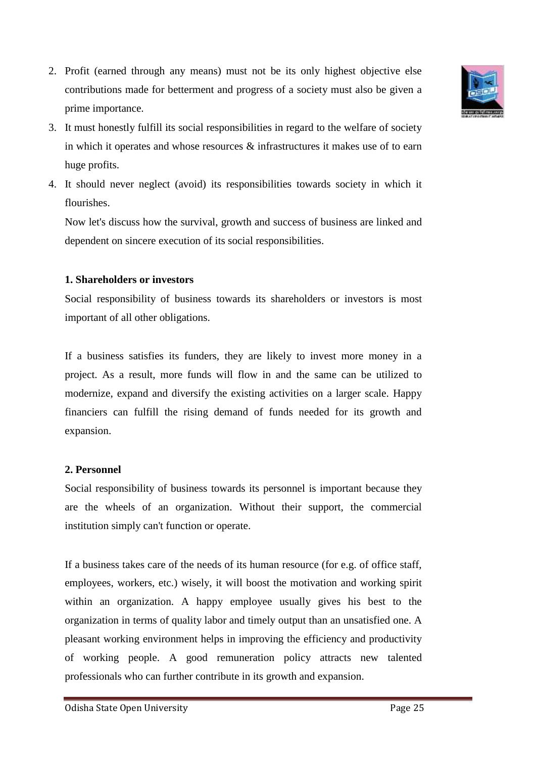

- 2. Profit (earned through any means) must not be its only highest objective else contributions made for betterment and progress of a society must also be given a prime importance.
- 3. It must honestly fulfill its social responsibilities in regard to the welfare of society in which it operates and whose resources  $\&$  infrastructures it makes use of to earn huge profits.
- 4. It should never neglect (avoid) its responsibilities towards society in which it flourishes.

Now let's discuss how the survival, growth and success of business are linked and dependent on sincere execution of its social responsibilities.

## **1. Shareholders or investors**

Social responsibility of business towards its shareholders or investors is most important of all other obligations.

If a business satisfies its funders, they are likely to invest more money in a project. As a result, more funds will flow in and the same can be utilized to modernize, expand and diversify the existing activities on a larger scale. Happy financiers can fulfill the rising demand of funds needed for its growth and expansion.

### **2. Personnel**

Social responsibility of business towards its personnel is important because they are the wheels of an organization. Without their support, the commercial institution simply can't function or operate.

If a business takes care of the needs of its human resource (for e.g. of office staff, employees, workers, etc.) wisely, it will boost the motivation and working spirit within an organization. A happy employee usually gives his best to the organization in terms of quality [labor](http://kalyan-city.blogspot.com/2010/11/what-is-labour-and-labourer-meaning-and.html) and timely output than an unsatisfied one. A pleasant working environment helps in improving the efficiency and productivity of working people. A good remuneration policy attracts new talented professionals who can further contribute in its growth and expansion.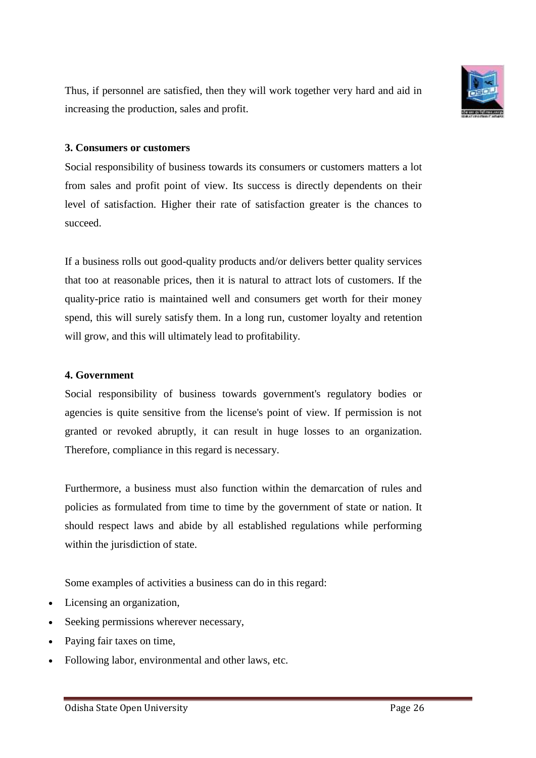

Thus, if personnel are satisfied, then they will work together very hard and aid in increasing the production, sales and profit.

### **3. Consumers or customers**

Social responsibility of business towards its consumers or customers matters a lot from sales and profit point of view. Its success is directly dependents on their level of satisfaction. Higher their rate of satisfaction greater is the chances to succeed.

If a business rolls out good-quality products and/or delivers better quality services that too at reasonable prices, then it is natural to attract lots of customers. If the quality-price ratio is maintained well and consumers get worth for their money spend, this will surely satisfy them. In a long run, customer loyalty and retention will grow, and this will ultimately lead to profitability.

## **4. Government**

Social responsibility of business towards government's regulatory bodies or agencies is quite sensitive from the license's point of view. If permission is not granted or revoked abruptly, it can result in huge losses to an organization. Therefore, compliance in this regard is necessary.

Furthermore, a business must also function within the demarcation of rules and policies as formulated from time to time by the government of state or nation. It should respect laws and abide by all established regulations while performing within the jurisdiction of state.

Some examples of activities a business can do in this regard:

- Licensing an organization,
- Seeking permissions wherever necessary,
- Paying fair taxes on time,
- Following labor, environmental and other laws, etc.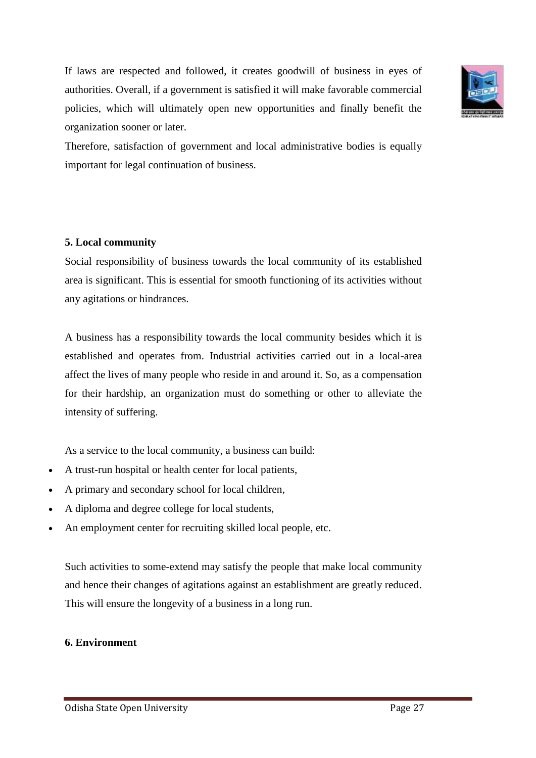If laws are respected and followed, it creates goodwill of business in eyes of authorities. Overall, if a government is satisfied it will make favorable commercial policies, which will ultimately open new opportunities and finally benefit the organization sooner or later.



Therefore, satisfaction of government and local administrative bodies is equally important for legal continuation of business.

## **5. Local community**

Social responsibility of business towards the local community of its established area is significant. This is essential for smooth functioning of its activities without any agitations or hindrances.

A business has a responsibility towards the local community besides which it is established and operates from. Industrial activities carried out in a local-area affect the lives of many people who reside in and around it. So, as a compensation for their hardship, an organization must do something or other to alleviate the intensity of suffering.

As a service to the local community, a business can build:

- A trust-run hospital or health center for local patients,
- A primary and secondary school for local children,
- A diploma and degree college for local students,
- An employment center for recruiting skilled local people, etc.

Such activities to some-extend may satisfy the people that make local community and hence their changes of agitations against an establishment are greatly reduced. This will ensure the longevity of a business in a long run.

### **6. Environment**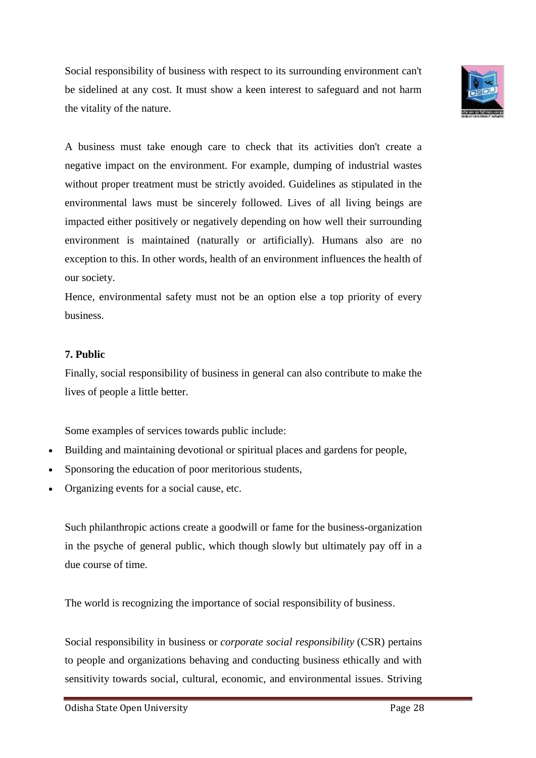Social responsibility of business with respect to its surrounding environment can't be sidelined at any cost. It must show a keen interest to safeguard and not harm the vitality of the nature.



A business must take enough care to check that its activities don't create a negative impact on the environment. For example, dumping of industrial wastes without proper treatment must be strictly avoided. Guidelines as stipulated in the environmental laws must be sincerely followed. Lives of all living beings are impacted either positively or negatively depending on how well their surrounding environment is maintained (naturally or artificially). Humans also are no exception to this. In other words, health of an environment influences the health of our society.

Hence, environmental safety must not be an option else a top priority of every business.

## **7. Public**

Finally, social responsibility of business in general can also contribute to make the lives of people a little better.

Some examples of services towards public include:

- Building and maintaining devotional or spiritual places and gardens for people,
- Sponsoring the education of poor meritorious students,
- Organizing events for a social cause, etc.

Such philanthropic actions create a goodwill or fame for the business-organization in the psyche of general public, which though slowly but ultimately pay off in a due course of time.

The world is recognizing the importance of social responsibility of business.

Social responsibility in business or *corporate social responsibility* (CSR) pertains to people and organizations behaving and conducting business ethically and with sensitivity towards social, cultural, economic, and environmental issues. Striving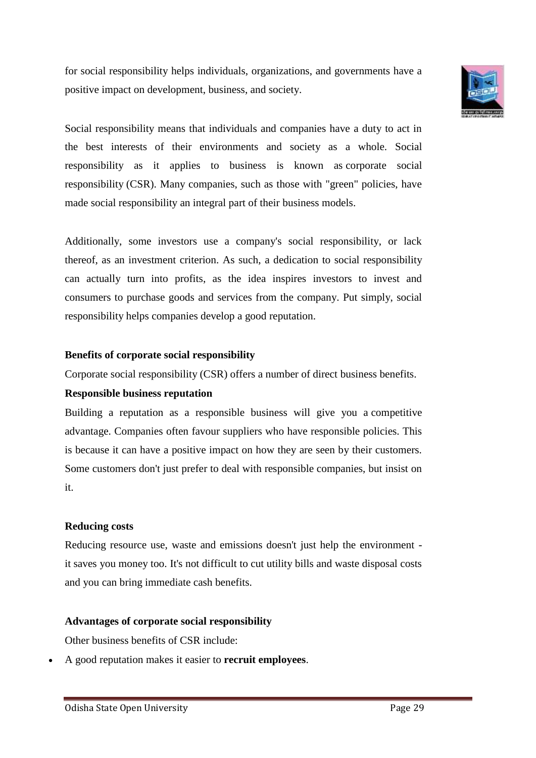for social responsibility helps individuals, organizations, and governments have a positive impact on development, business, and society.



Social responsibility means that individuals and companies have a duty to act in the best interests of their environments and society as a whole. Social responsibility as it applies to business is known as [corporate social](http://www.investopedia.com/terms/c/corp-social-responsibility.asp)  [responsibility](http://www.investopedia.com/terms/c/corp-social-responsibility.asp) (CSR). Many companies, such as those with "green" policies, have made social responsibility an integral part of their [business models.](http://www.investopedia.com/terms/b/businessmodel.asp)

Additionally, some investors use a company's social responsibility, or lack thereof, as an investment criterion. As such, a dedication to social responsibility can actually turn into profits, as the idea inspires investors to invest and consumers to purchase goods and services from the company. Put simply, social responsibility helps companies develop a good reputation.

### **Benefits of corporate social responsibility**

Corporate social responsibility (CSR) offers a number of direct business benefits.

### **Responsible business reputation**

Building a reputation as a responsible business will give you a competitive advantage. Companies often favour suppliers who have responsible policies. This is because it can have a positive impact on how they are seen by their customers. Some customers don't just prefer to deal with responsible companies, but insist on it.

### **Reducing costs**

Reducing resource use, waste and emissions doesn't just help the environment it saves you money too. It's not difficult to cut utility bills and waste disposal costs and you can bring immediate cash benefits.

### **Advantages of corporate social responsibility**

Other business benefits of CSR include:

A good reputation makes it easier to **recruit employees**.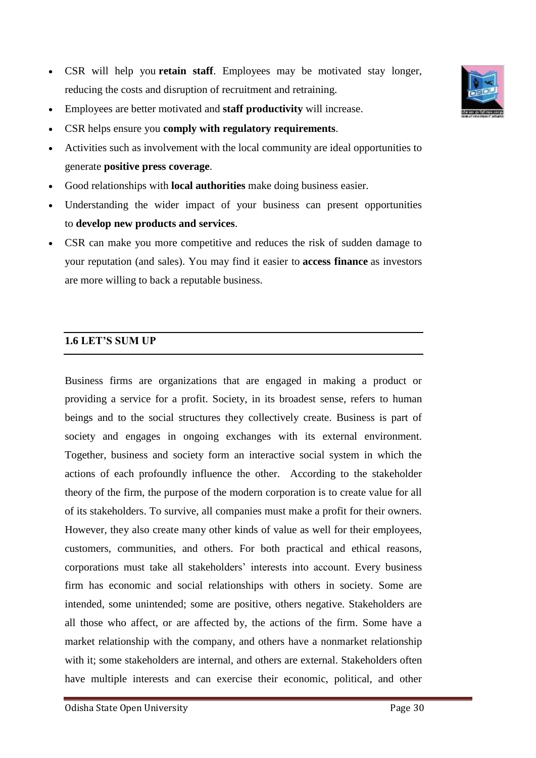

- CSR will help you **retain staff**. Employees may be motivated stay longer, reducing the costs and disruption of recruitment and retraining.
- Employees are better motivated and **staff productivity** will increase.
- CSR helps ensure you **comply with regulatory requirements**.
- Activities such as involvement with the local community are ideal opportunities to generate **positive press coverage**.
- Good relationships with **local authorities** make doing business easier.
- Understanding the wider impact of your business can present opportunities to **develop new products and services**.
- CSR can make you more competitive and reduces the risk of sudden damage to your reputation (and sales). You may find it easier to **access finance** as investors are more willing to back a reputable business.

# **1.6 LET'S SUM UP**

Business firms are organizations that are engaged in making a product or providing a service for a profit. Society, in its broadest sense, refers to human beings and to the social structures they collectively create. Business is part of society and engages in ongoing exchanges with its external environment. Together, business and society form an interactive social system in which the actions of each profoundly influence the other. According to the stakeholder theory of the firm, the purpose of the modern corporation is to create value for all of its stakeholders. To survive, all companies must make a profit for their owners. However, they also create many other kinds of value as well for their employees, customers, communities, and others. For both practical and ethical reasons, corporations must take all stakeholders' interests into account. Every business firm has economic and social relationships with others in society. Some are intended, some unintended; some are positive, others negative. Stakeholders are all those who affect, or are affected by, the actions of the firm. Some have a market relationship with the company, and others have a nonmarket relationship with it; some stakeholders are internal, and others are external. Stakeholders often have multiple interests and can exercise their economic, political, and other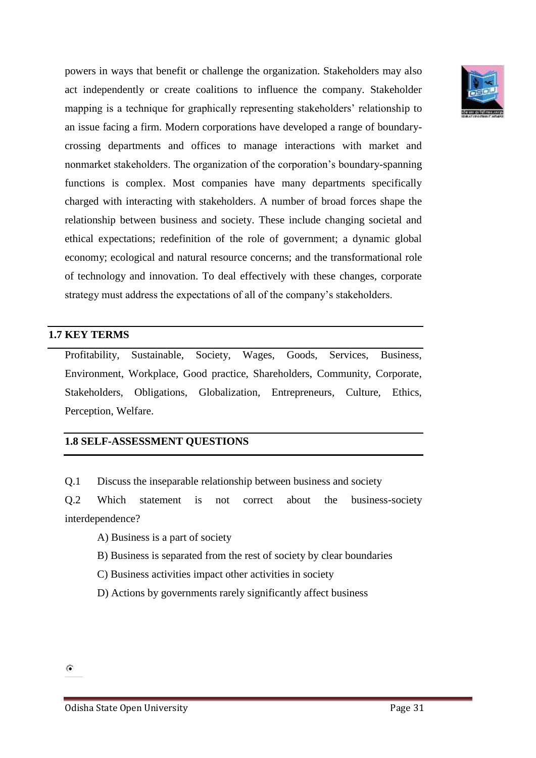

powers in ways that benefit or challenge the organization. Stakeholders may also act independently or create coalitions to influence the company. Stakeholder mapping is a technique for graphically representing stakeholders' relationship to an issue facing a firm. Modern corporations have developed a range of boundarycrossing departments and offices to manage interactions with market and nonmarket stakeholders. The organization of the corporation's boundary-spanning functions is complex. Most companies have many departments specifically charged with interacting with stakeholders. A number of broad forces shape the relationship between business and society. These include changing societal and ethical expectations; redefinition of the role of government; a dynamic global economy; ecological and natural resource concerns; and the transformational role of technology and innovation. To deal effectively with these changes, corporate strategy must address the expectations of all of the company's stakeholders.

### **1.7 KEY TERMS**

Profitability, Sustainable, Society, Wages, Goods, Services, Business, Environment, Workplace, Good practice, Shareholders, Community, Corporate, Stakeholders, Obligations, Globalization, Entrepreneurs, Culture, Ethics, Perception, Welfare.

### **1.8 SELF-ASSESSMENT QUESTIONS**

Q.1 Discuss the inseparable relationship between business and society

Q.2 Which statement is not correct about the business-society interdependence?

- A) Business is a part of society
- B) Business is separated from the rest of society by clear boundaries
- C) Business activities impact other activities in society
- D) Actions by governments rarely significantly affect business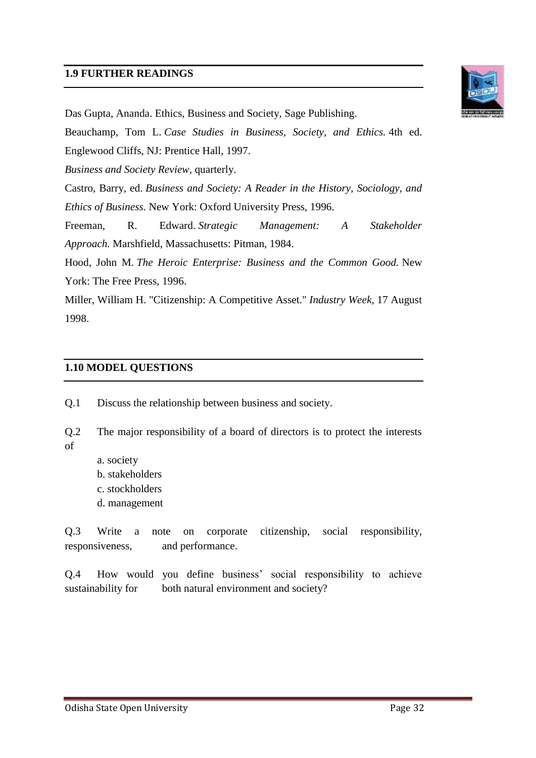### **1.9 FURTHER READINGS**



Das Gupta, Ananda. Ethics, Business and Society, Sage Publishing.

Beauchamp, Tom L. *Case Studies in Business, Society, and Ethics.* 4th ed. Englewood Cliffs, NJ: Prentice Hall, 1997.

*Business and Society Review,* quarterly.

Castro, Barry, ed. *Business and Society: A Reader in the History, Sociology, and Ethics of Business.* New York: Oxford University Press, 1996.

Freeman, R. Edward. *Strategic Management: A Stakeholder Approach.* Marshfield, Massachusetts: Pitman, 1984.

Hood, John M. *The Heroic Enterprise: Business and the Common Good.* New York: The Free Press, 1996.

Miller, William H. "Citizenship: A Competitive Asset." *Industry Week,* 17 August 1998.

## **1.10 MODEL QUESTIONS**

Q.1 Discuss the relationship between business and society.

Q.2 The major responsibility of a board of directors is to protect the interests of

a. society b. stakeholders c. stockholders d. management

Q.3 Write a note on corporate citizenship, social responsibility, responsiveness, and performance.

Q.4 How would you define business' social responsibility to achieve sustainability for both natural environment and society?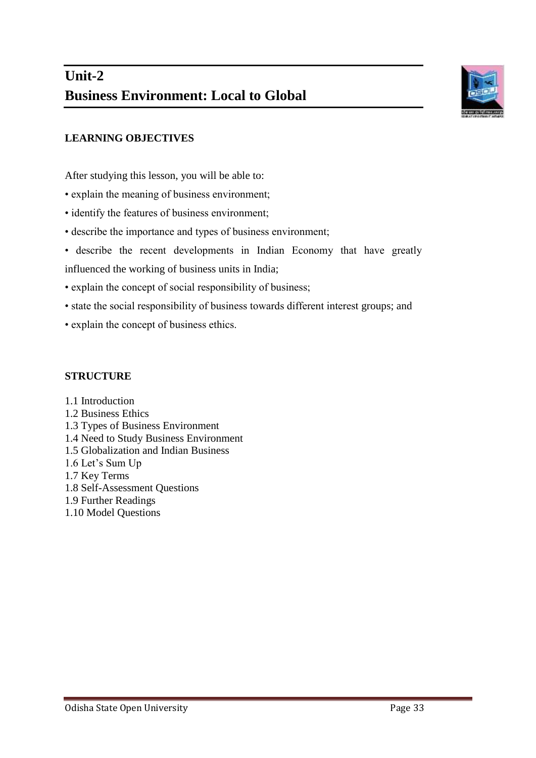

## **LEARNING OBJECTIVES**

After studying this lesson, you will be able to:

- explain the meaning of business environment;
- identify the features of business environment;
- describe the importance and types of business environment;
- describe the recent developments in Indian Economy that have greatly

influenced the working of business units in India;

- explain the concept of social responsibility of business;
- state the social responsibility of business towards different interest groups; and
- explain the concept of business ethics.

#### **STRUCTURE**

- 1.1 Introduction
- 1.2 Business Ethics
- 1.3 Types of Business Environment
- 1.4 Need to Study Business Environment
- 1.5 Globalization and Indian Business
- 1.6 Let's Sum Up
- 1.7 Key Terms
- 1.8 Self-Assessment Questions
- 1.9 Further Readings
- 1.10 Model Questions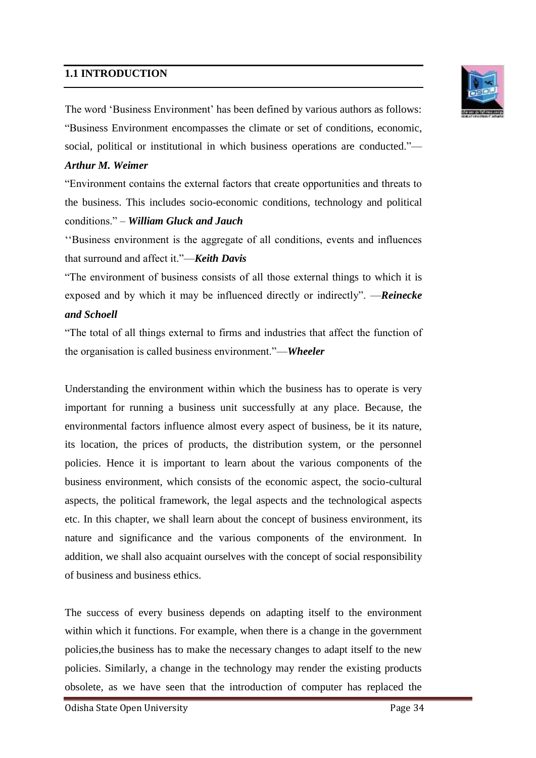### **1.1 INTRODUCTION**



The word 'Business Environment' has been defined by various authors as follows: "Business Environment encompasses the climate or set of conditions, economic, social, political or institutional in which business operations are conducted."—

#### *Arthur M. Weimer*

"Environment contains the external factors that create opportunities and threats to the business. This includes socio-economic conditions, technology and political conditions." – *William Gluck and Jauch*

''Business environment is the aggregate of all conditions, events and influences that surround and affect it."—*Keith Davis*

"The environment of business consists of all those external things to which it is exposed and by which it may be influenced directly or indirectly". —*Reinecke and Schoell*

"The total of all things external to firms and industries that affect the function of the organisation is called business environment."—*Wheeler*

Understanding the environment within which the business has to operate is very important for running a business unit successfully at any place. Because, the environmental factors influence almost every aspect of business, be it its nature, its location, the prices of products, the distribution system, or the personnel policies. Hence it is important to learn about the various components of the business environment, which consists of the economic aspect, the socio-cultural aspects, the political framework, the legal aspects and the technological aspects etc. In this chapter, we shall learn about the concept of business environment, its nature and significance and the various components of the environment. In addition, we shall also acquaint ourselves with the concept of social responsibility of business and business ethics.

The success of every business depends on adapting itself to the environment within which it functions. For example, when there is a change in the government policies,the business has to make the necessary changes to adapt itself to the new policies. Similarly, a change in the technology may render the existing products obsolete, as we have seen that the introduction of computer has replaced the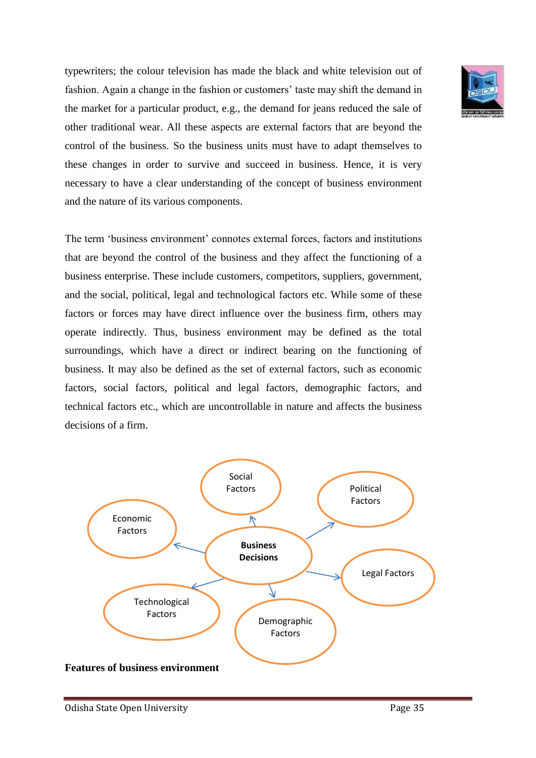typewriters; the colour television has made the black and white television out of fashion. Again a change in the fashion or customers' taste may shift the demand in the market for a particular product, e.g., the demand for jeans reduced the sale of other traditional wear. All these aspects are external factors that are beyond the control of the business. So the business units must have to adapt themselves to these changes in order to survive and succeed in business. Hence, it is very necessary to have a clear understanding of the concept of business environment and the nature of its various components.

The term 'business environment' connotes external forces, factors and institutions that are beyond the control of the business and they affect the functioning of a business enterprise. These include customers, competitors, suppliers, government, and the social, political, legal and technological factors etc. While some of these factors or forces may have direct influence over the business firm, others may operate indirectly. Thus, business environment may be defined as the total surroundings, which have a direct or indirect bearing on the functioning of business. It may also be defined as the set of external factors, such as economic factors, social factors, political and legal factors, demographic factors, and technical factors etc., which are uncontrollable in nature and affects the business decisions of a firm.



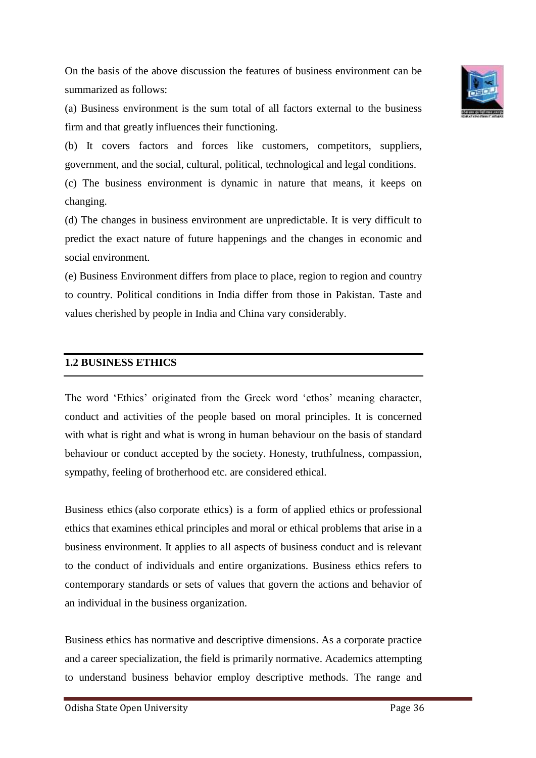

On the basis of the above discussion the features of business environment can be summarized as follows:

(a) Business environment is the sum total of all factors external to the business firm and that greatly influences their functioning.

(b) It covers factors and forces like customers, competitors, suppliers, government, and the social, cultural, political, technological and legal conditions.

(c) The business environment is dynamic in nature that means, it keeps on changing.

(d) The changes in business environment are unpredictable. It is very difficult to predict the exact nature of future happenings and the changes in economic and social environment.

(e) Business Environment differs from place to place, region to region and country to country. Political conditions in India differ from those in Pakistan. Taste and values cherished by people in India and China vary considerably.

## **1.2 BUSINESS ETHICS**

The word 'Ethics' originated from the Greek word 'ethos' meaning character, conduct and activities of the people based on moral principles. It is concerned with what is right and what is wrong in human behaviour on the basis of standard behaviour or conduct accepted by the society. Honesty, truthfulness, compassion, sympathy, feeling of brotherhood etc. are considered ethical.

Business ethics (also corporate ethics) is a form of [applied ethics](https://en.wikipedia.org/wiki/Applied_ethics) or [professional](https://en.wikipedia.org/wiki/Professional_ethics)  [ethics](https://en.wikipedia.org/wiki/Professional_ethics) that examines ethical principles and moral or ethical problems that arise in a business environment. It applies to all aspects of business conduct and is relevant to the conduct of individuals and entire organizations. Business ethics refers to contemporary standards or sets of values that govern the actions and behavior of an individual in the business organization.

Business ethics has [normative](https://en.wikipedia.org/wiki/Norm_(philosophy)) and descriptive dimensions. As a corporate practice and a career specialization, the field is primarily normative. Academics attempting to understand business behavior employ descriptive methods. The range and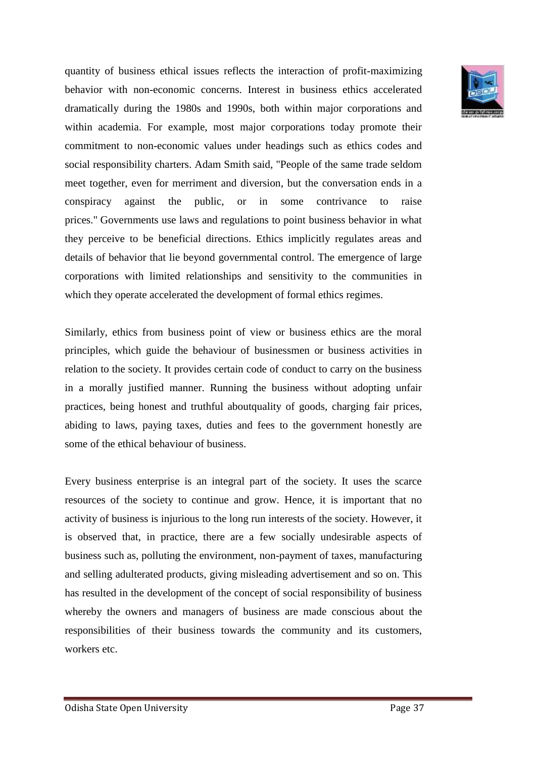

quantity of business ethical issues reflects the interaction of profit-maximizing behavior with non-economic concerns. Interest in business ethics accelerated dramatically during the 1980s and 1990s, both within major corporations and within academia. For example, most major corporations today promote their commitment to non-economic values under headings such as ethics codes and social responsibility charters. Adam Smith said, "People of the same trade seldom meet together, even for merriment and diversion, but the conversation ends in a conspiracy against the public, or in some contrivance to raise prices." Governments use laws and regulations to point business behavior in what they perceive to be beneficial directions. Ethics implicitly regulates areas and details of behavior that lie beyond governmental control. The emergence of large corporations with limited relationships and sensitivity to the communities in which they operate accelerated the development of formal ethics regimes.

Similarly, ethics from business point of view or business ethics are the moral principles, which guide the behaviour of businessmen or business activities in relation to the society. It provides certain code of conduct to carry on the business in a morally justified manner. Running the business without adopting unfair practices, being honest and truthful aboutquality of goods, charging fair prices, abiding to laws, paying taxes, duties and fees to the government honestly are some of the ethical behaviour of business.

Every business enterprise is an integral part of the society. It uses the scarce resources of the society to continue and grow. Hence, it is important that no activity of business is injurious to the long run interests of the society. However, it is observed that, in practice, there are a few socially undesirable aspects of business such as, polluting the environment, non-payment of taxes, manufacturing and selling adulterated products, giving misleading advertisement and so on. This has resulted in the development of the concept of social responsibility of business whereby the owners and managers of business are made conscious about the responsibilities of their business towards the community and its customers, workers etc.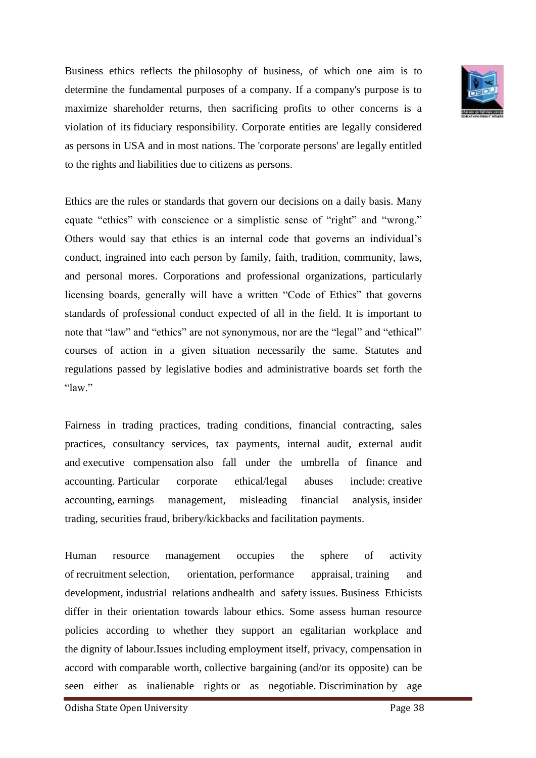

Business ethics reflects the [philosophy of business,](https://en.wikipedia.org/wiki/Philosophy_of_business) of which one aim is to determine the fundamental purposes of a company. If a company's purpose is to maximize shareholder returns, then sacrificing profits to other concerns is a violation of its [fiduciary responsibility.](https://en.wikipedia.org/wiki/Fiduciary_responsibility) Corporate entities are legally considered as persons in USA and in most nations. The 'corporate persons' are legally entitled to the rights and liabilities due to citizens as persons.

Ethics are the rules or standards that govern our decisions on a daily basis. Many equate "ethics" with conscience or a simplistic sense of "right" and "wrong." Others would say that ethics is an internal code that governs an individual's conduct, ingrained into each person by family, faith, tradition, community, laws, and personal mores. Corporations and professional organizations, particularly licensing boards, generally will have a written "Code of Ethics" that governs standards of professional conduct expected of all in the field. It is important to note that "law" and "ethics" are not synonymous, nor are the "legal" and "ethical" courses of action in a given situation necessarily the same. Statutes and regulations passed by legislative bodies and administrative boards set forth the "law."

Fairness in trading practices, trading conditions, financial contracting, sales practices, consultancy services, tax payments, internal audit, external audit and [executive compensation](https://en.wikipedia.org/wiki/Executive_compensation) also fall under the umbrella of finance and accounting. Particular corporate ethical/legal abuses include: [creative](https://en.wikipedia.org/wiki/Creative_accounting)  [accounting,](https://en.wikipedia.org/wiki/Creative_accounting) [earnings management,](https://en.wikipedia.org/wiki/Earnings_management) misleading financial analysis, [insider](https://en.wikipedia.org/wiki/Insider_trading)  [trading,](https://en.wikipedia.org/wiki/Insider_trading) [securities fraud,](https://en.wikipedia.org/wiki/Securities_fraud) [bribery/](https://en.wikipedia.org/wiki/Bribery)kickbacks and [facilitation payments.](https://en.wikipedia.org/wiki/Facilitation_payment)

Human resource management occupies the sphere of activity of [recruitment](https://en.wikipedia.org/wiki/Recruitment) selection, orientation, [performance appraisal,](https://en.wikipedia.org/wiki/Performance_appraisal) [training and](https://en.wikipedia.org/wiki/Training_and_development)  [development,](https://en.wikipedia.org/wiki/Training_and_development) [industrial relations](https://en.wikipedia.org/wiki/Industrial_relations) an[dhealth and safety](https://en.wikipedia.org/wiki/Occupational_safety_and_health) issues. Business Ethicists differ in their orientation towards labour ethics. Some assess human resource policies according to whether they support an egalitarian workplace and the [dignity of labour.](https://en.wikipedia.org/wiki/Dignity_of_labor)Issues including [employment itself,](https://en.wikipedia.org/wiki/At-will_employment) [privacy,](https://en.wikipedia.org/wiki/Workplace_surveillance) compensation in accord with [comparable worth,](https://en.wikipedia.org/wiki/Comparable_worth) [collective bargaining](https://en.wikipedia.org/wiki/Collective_bargaining) (and/or its opposite) can be seen either as inalienable rights or as negotiable. [Discrimination](https://en.wikipedia.org/wiki/Discrimination) by age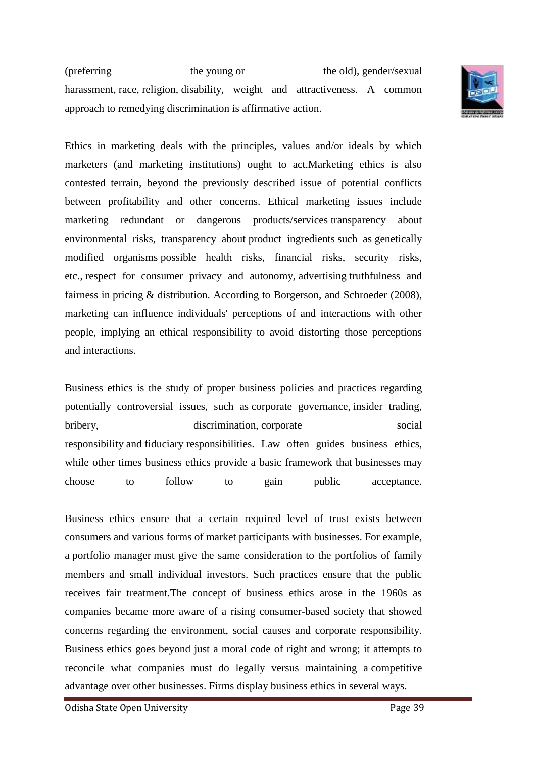(preferring the [young](https://en.wikipedia.org/wiki/Ageism) or the [old\)](https://en.wikipedia.org/wiki/Seniority), [gender](https://en.wikipedia.org/wiki/Sex_discrimination)/sexual [harassment,](https://en.wikipedia.org/wiki/Sexual_harassment) [race,](https://en.wikipedia.org/wiki/Racial_discrimination) [religion,](https://en.wikipedia.org/wiki/Religious_discrimination) [disability,](https://en.wikipedia.org/wiki/Disability) weight and attractiveness. A common approach to remedying discrimination is [affirmative action.](https://en.wikipedia.org/wiki/Affirmative_action)



Ethics in marketing deals with the principles, values and/or ideals by which marketers (and marketing institutions) ought to act.Marketing ethics is also contested terrain, beyond the previously described issue of potential conflicts between profitability and other concerns. Ethical marketing issues include marketing redundant or dangerous products/services transparency about environmental risks, transparency about [product ingredients](https://en.wikipedia.org/wiki/Mandatory_labelling) such as [genetically](https://en.wikipedia.org/wiki/Genetically_modified_organism)  [modified organisms](https://en.wikipedia.org/wiki/Genetically_modified_organism) possible health risks, financial risks, security risks, etc., respect for consumer privacy and autonomy, [advertising](https://en.wikipedia.org/wiki/Advertising) truthfulness and fairness in [pricing](https://en.wikipedia.org/wiki/Pricing) & distribution. According to Borgerson, and Schroeder (2008), marketing can influence individuals' perceptions of and interactions with other people, implying an ethical responsibility to avoid distorting those perceptions and interactions.

Business ethics is the study of proper business policies and practices regarding potentially controversial issues, such as [corporate governance,](http://www.investopedia.com/terms/c/corporategovernance.asp) [insider trading,](http://www.investopedia.com/terms/i/insidertrading.asp) bribery, discrimination, corporate social [responsibility](http://www.investopedia.com/terms/c/corp-social-responsibility.asp) and [fiduciary](http://www.investopedia.com/terms/f/fiduciary.asp) responsibilities. Law often guides business ethics, while other times business ethics provide a basic framework that [businesses](http://www.investopedia.com/terms/b/business.asp) may choose to follow to gain public acceptance.

Business ethics ensure that a certain required level of trust exists between consumers and various forms of market participants with businesses. For example, a [portfolio manager](http://www.investopedia.com/terms/p/portfoliomanager.asp) must give the same consideration to the portfolios of family members and small individual investors. Such practices ensure that the public receives fair treatment.The concept of business ethics arose in the 1960s as companies became more aware of a rising consumer-based society that showed concerns regarding the environment, social causes and corporate responsibility. Business ethics goes beyond just a moral code of right and wrong; it attempts to reconcile what companies must do legally versus maintaining a [competitive](http://www.investopedia.com/terms/c/competitive_advantage.asp)  [advantage](http://www.investopedia.com/terms/c/competitive_advantage.asp) over other businesses. Firms display business ethics in several ways.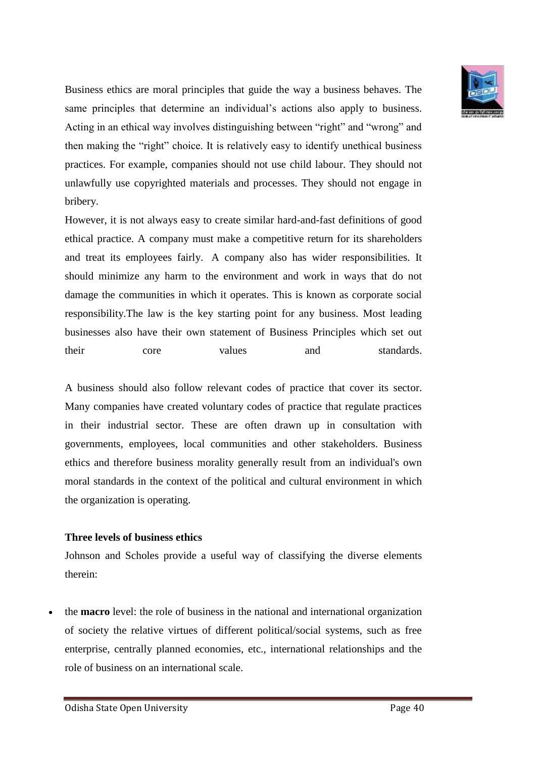

Business ethics are moral principles that guide the way a business behaves. The same principles that determine an individual's actions also apply to business. Acting in an ethical way involves distinguishing between "right" and "wrong" and then making the "right" choice. It is relatively easy to identify unethical business practices. For example, companies should not use child labour. They should not unlawfully use copyrighted materials and processes. They should not engage in bribery.

However, it is not always easy to create similar hard-and-fast definitions of good ethical practice. A company must make a competitive return for its shareholders and treat its employees fairly. A company also has wider responsibilities. It should minimize any harm to the environment and work in ways that do not damage the communities in which it operates. This is known as corporate social responsibility.The law is the key starting point for any business. Most leading businesses also have their own statement of Business Principles which set out their core values and standards.

A business should also follow relevant codes of practice that cover its sector. Many companies have created voluntary codes of practice that regulate practices in their industrial sector. These are often drawn up in consultation with governments, employees, local communities and other stakeholders. Business ethics and therefore business morality generally result from an individual's own moral standards in the context of the political and cultural environment in which the organization is operating.

### **Three levels of business ethics**

Johnson and Scholes provide a useful way of classifying the diverse elements therein:

 the **macro** level: the role of business in the national and international organization of society the relative virtues of different political/social systems, such as free enterprise, centrally planned economies, etc., international relationships and the role of business on an international scale.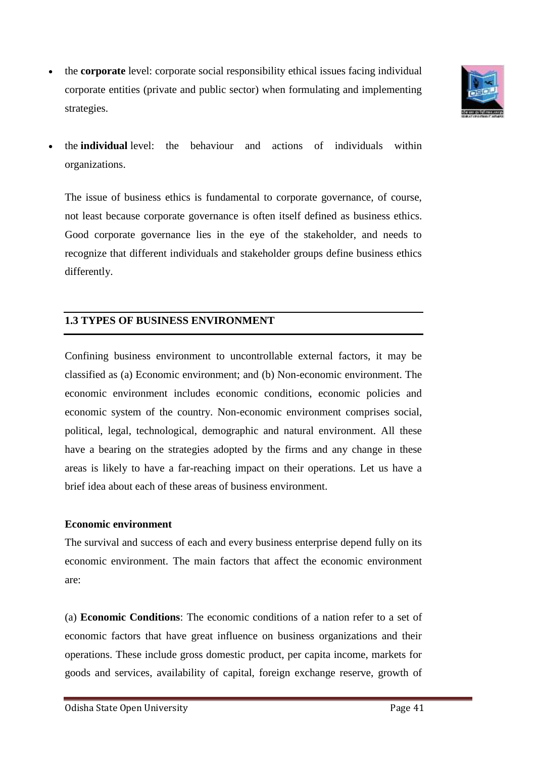the **corporate** level: corporate social responsibility ethical issues facing individual corporate entities (private and public sector) when formulating and implementing strategies.



 the **individual** level: the behaviour and actions of individuals within organizations.

The issue of business ethics is fundamental to corporate governance, of course, not least because corporate governance is often itself defined as business ethics. Good corporate governance lies in the eye of the stakeholder, and needs to recognize that different individuals and stakeholder groups define business ethics differently.

## **1.3 TYPES OF BUSINESS ENVIRONMENT**

Confining business environment to uncontrollable external factors, it may be classified as (a) Economic environment; and (b) Non-economic environment. The economic environment includes economic conditions, economic policies and economic system of the country. Non-economic environment comprises social, political, legal, technological, demographic and natural environment. All these have a bearing on the strategies adopted by the firms and any change in these areas is likely to have a far-reaching impact on their operations. Let us have a brief idea about each of these areas of business environment.

#### **Economic environment**

The survival and success of each and every business enterprise depend fully on its economic environment. The main factors that affect the economic environment are:

(a) **Economic Conditions**: The economic conditions of a nation refer to a set of economic factors that have great influence on business organizations and their operations. These include gross domestic product, per capita income, markets for goods and services, availability of capital, foreign exchange reserve, growth of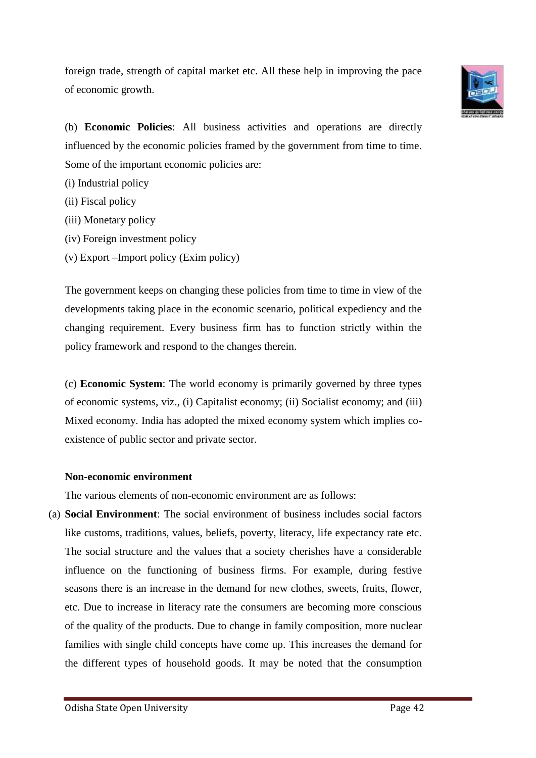foreign trade, strength of capital market etc. All these help in improving the pace of economic growth.



(b) **Economic Policies**: All business activities and operations are directly influenced by the economic policies framed by the government from time to time. Some of the important economic policies are:

- (i) Industrial policy
- (ii) Fiscal policy
- (iii) Monetary policy
- (iv) Foreign investment policy
- (v) Export –Import policy (Exim policy)

The government keeps on changing these policies from time to time in view of the developments taking place in the economic scenario, political expediency and the changing requirement. Every business firm has to function strictly within the policy framework and respond to the changes therein.

(c) **Economic System**: The world economy is primarily governed by three types of economic systems, viz., (i) Capitalist economy; (ii) Socialist economy; and (iii) Mixed economy. India has adopted the mixed economy system which implies coexistence of public sector and private sector.

## **Non-economic environment**

The various elements of non-economic environment are as follows:

(a) **Social Environment**: The social environment of business includes social factors like customs, traditions, values, beliefs, poverty, literacy, life expectancy rate etc. The social structure and the values that a society cherishes have a considerable influence on the functioning of business firms. For example, during festive seasons there is an increase in the demand for new clothes, sweets, fruits, flower, etc. Due to increase in literacy rate the consumers are becoming more conscious of the quality of the products. Due to change in family composition, more nuclear families with single child concepts have come up. This increases the demand for the different types of household goods. It may be noted that the consumption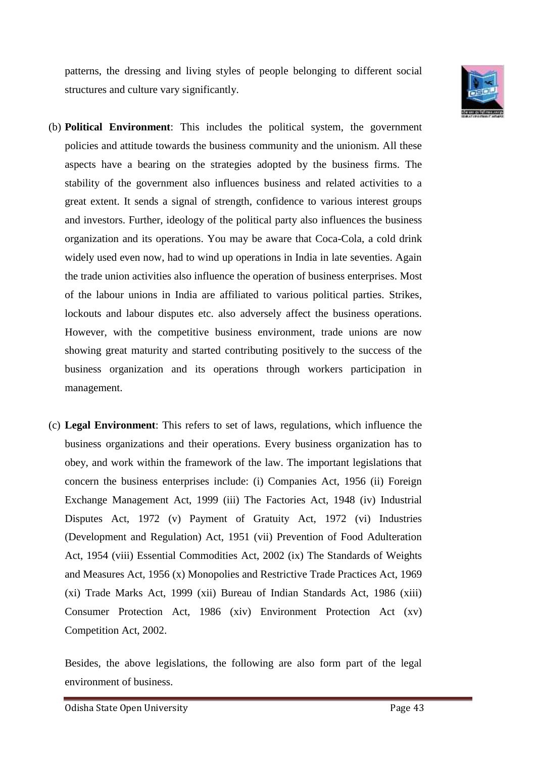patterns, the dressing and living styles of people belonging to different social structures and culture vary significantly.



- (b) **Political Environment**: This includes the political system, the government policies and attitude towards the business community and the unionism. All these aspects have a bearing on the strategies adopted by the business firms. The stability of the government also influences business and related activities to a great extent. It sends a signal of strength, confidence to various interest groups and investors. Further, ideology of the political party also influences the business organization and its operations. You may be aware that Coca-Cola, a cold drink widely used even now, had to wind up operations in India in late seventies. Again the trade union activities also influence the operation of business enterprises. Most of the labour unions in India are affiliated to various political parties. Strikes, lockouts and labour disputes etc. also adversely affect the business operations. However, with the competitive business environment, trade unions are now showing great maturity and started contributing positively to the success of the business organization and its operations through workers participation in management.
- (c) **Legal Environment**: This refers to set of laws, regulations, which influence the business organizations and their operations. Every business organization has to obey, and work within the framework of the law. The important legislations that concern the business enterprises include: (i) Companies Act, 1956 (ii) Foreign Exchange Management Act, 1999 (iii) The Factories Act, 1948 (iv) Industrial Disputes Act, 1972 (v) Payment of Gratuity Act, 1972 (vi) Industries (Development and Regulation) Act, 1951 (vii) Prevention of Food Adulteration Act, 1954 (viii) Essential Commodities Act, 2002 (ix) The Standards of Weights and Measures Act, 1956 (x) Monopolies and Restrictive Trade Practices Act, 1969 (xi) Trade Marks Act, 1999 (xii) Bureau of Indian Standards Act, 1986 (xiii) Consumer Protection Act, 1986 (xiv) Environment Protection Act (xv) Competition Act, 2002.

Besides, the above legislations, the following are also form part of the legal environment of business.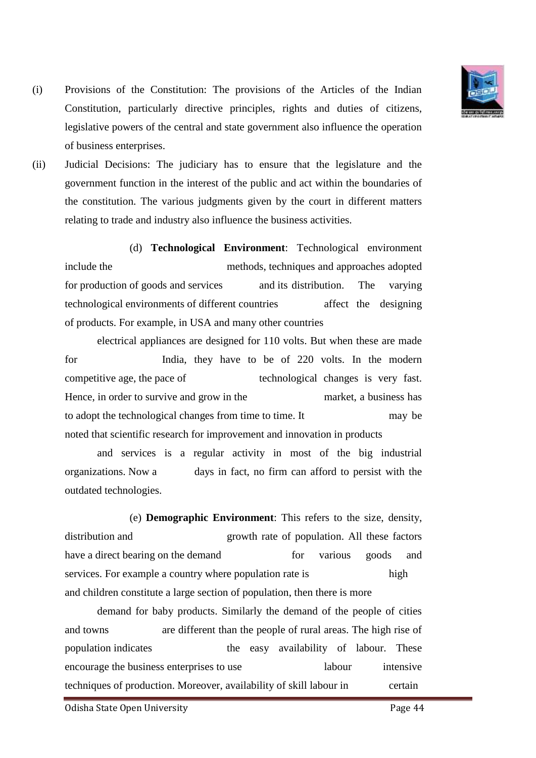

- (i) Provisions of the Constitution: The provisions of the Articles of the Indian Constitution, particularly directive principles, rights and duties of citizens, legislative powers of the central and state government also influence the operation of business enterprises.
- (ii) Judicial Decisions: The judiciary has to ensure that the legislature and the government function in the interest of the public and act within the boundaries of the constitution. The various judgments given by the court in different matters relating to trade and industry also influence the business activities.

(d) **Technological Environment**: Technological environment include the methods, techniques and approaches adopted for production of goods and services and its distribution. The varying technological environments of different countries affect the designing of products. For example, in USA and many other countries

electrical appliances are designed for 110 volts. But when these are made for India, they have to be of 220 volts. In the modern competitive age, the pace of technological changes is very fast. Hence, in order to survive and grow in the market, a business has to adopt the technological changes from time to time. It may be noted that scientific research for improvement and innovation in products

and services is a regular activity in most of the big industrial organizations. Now a days in fact, no firm can afford to persist with the outdated technologies.

(e) **Demographic Environment**: This refers to the size, density, distribution and growth rate of population. All these factors have a direct bearing on the demand for various goods and services. For example a country where population rate is high and children constitute a large section of population, then there is more

demand for baby products. Similarly the demand of the people of cities and towns are different than the people of rural areas. The high rise of population indicates the easy availability of labour. These encourage the business enterprises to use labour intensive techniques of production. Moreover, availability of skill labour in certain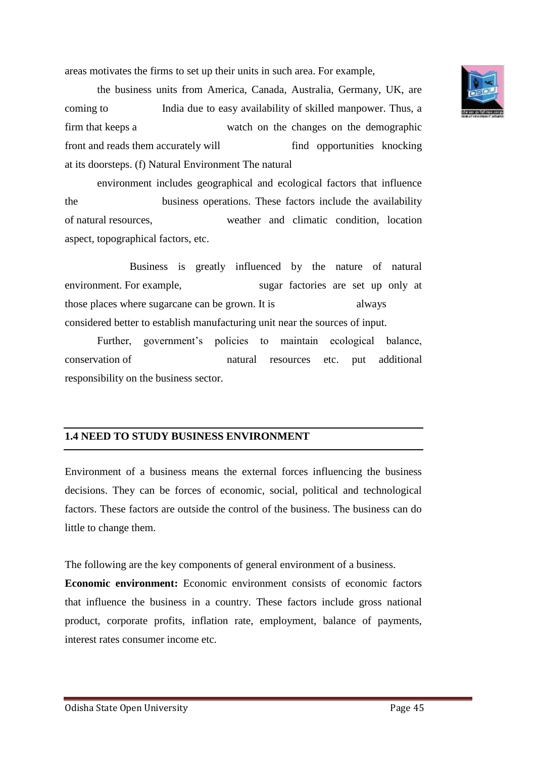areas motivates the firms to set up their units in such area. For example,



the business units from America, Canada, Australia, Germany, UK, are coming to India due to easy availability of skilled manpower. Thus, a firm that keeps a watch on the changes on the demographic front and reads them accurately will find opportunities knocking at its doorsteps. (f) Natural Environment The natural

environment includes geographical and ecological factors that influence the business operations. These factors include the availability of natural resources, weather and climatic condition, location aspect, topographical factors, etc.

Business is greatly influenced by the nature of natural environment. For example, sugar factories are set up only at those places where sugarcane can be grown. It is always considered better to establish manufacturing unit near the sources of input.

Further, government's policies to maintain ecological balance, conservation of natural resources etc. put additional responsibility on the business sector.

## **1.4 NEED TO STUDY BUSINESS ENVIRONMENT**

Environment of a business means the external forces influencing the business decisions. They can be forces of economic, social, political and technological factors. These factors are outside the control of the business. The business can do little to change them.

The following are the key components of general environment of a business.

**Economic environment:** Economic environment consists of economic factors that influence the business in a country. These factors include gross national product, corporate profits, inflation rate, employment, balance of payments, interest rates consumer income etc.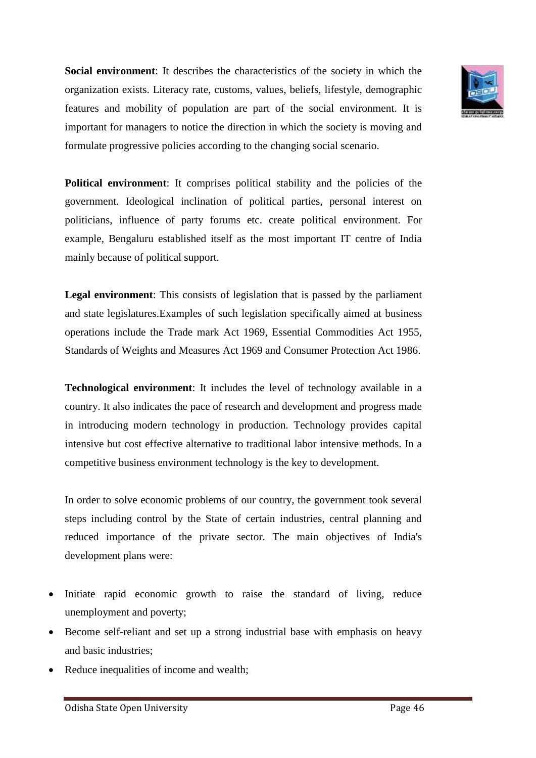**Social environment**: It describes the characteristics of the society in which the organization exists. Literacy rate, customs, values, beliefs, lifestyle, demographic features and mobility of population are part of the social environment. It is important for managers to notice the direction in which the society is moving and formulate progressive policies according to the changing social scenario.



**Political environment**: It comprises political stability and the policies of the government. Ideological inclination of political parties, personal interest on politicians, influence of party forums etc. create political environment. For example, Bengaluru established itself as the most important IT centre of India mainly because of political support.

**Legal environment**: This consists of legislation that is passed by the parliament and state legislatures.Examples of such legislation specifically aimed at business operations include the Trade mark Act 1969, Essential Commodities Act 1955, Standards of Weights and Measures Act 1969 and Consumer Protection Act 1986.

**Technological environment**: It includes the level of technology available in a country. It also indicates the pace of research and development and progress made in introducing modern technology in production. Technology provides capital intensive but cost effective alternative to traditional labor intensive methods. In a competitive business environment technology is the key to development.

In order to solve economic problems of our country, the government took several steps including control by the State of certain industries, central planning and reduced importance of the private sector. The main objectives of India's development plans were:

- Initiate rapid economic growth to raise the standard of living, reduce unemployment and poverty;
- Become self-reliant and set up a strong industrial base with emphasis on heavy and basic industries;
- Reduce inequalities of income and wealth;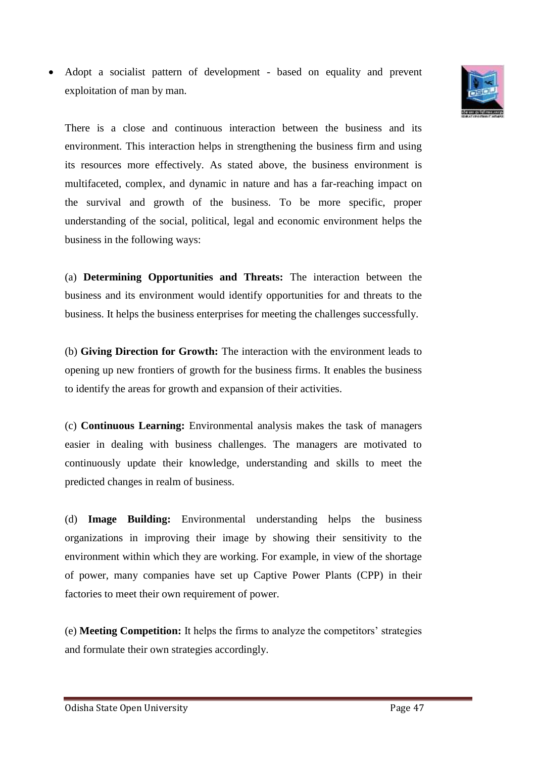Adopt a socialist pattern of development - based on equality and prevent exploitation of man by man.



There is a close and continuous interaction between the business and its environment. This interaction helps in strengthening the business firm and using its resources more effectively. As stated above, the business environment is multifaceted, complex, and dynamic in nature and has a far-reaching impact on the survival and growth of the business. To be more specific, proper understanding of the social, political, legal and economic environment helps the business in the following ways:

(a) **Determining Opportunities and Threats:** The interaction between the business and its environment would identify opportunities for and threats to the business. It helps the business enterprises for meeting the challenges successfully.

(b) **Giving Direction for Growth:** The interaction with the environment leads to opening up new frontiers of growth for the business firms. It enables the business to identify the areas for growth and expansion of their activities.

(c) **Continuous Learning:** Environmental analysis makes the task of managers easier in dealing with business challenges. The managers are motivated to continuously update their knowledge, understanding and skills to meet the predicted changes in realm of business.

(d) **Image Building:** Environmental understanding helps the business organizations in improving their image by showing their sensitivity to the environment within which they are working. For example, in view of the shortage of power, many companies have set up Captive Power Plants (CPP) in their factories to meet their own requirement of power.

(e) **Meeting Competition:** It helps the firms to analyze the competitors' strategies and formulate their own strategies accordingly.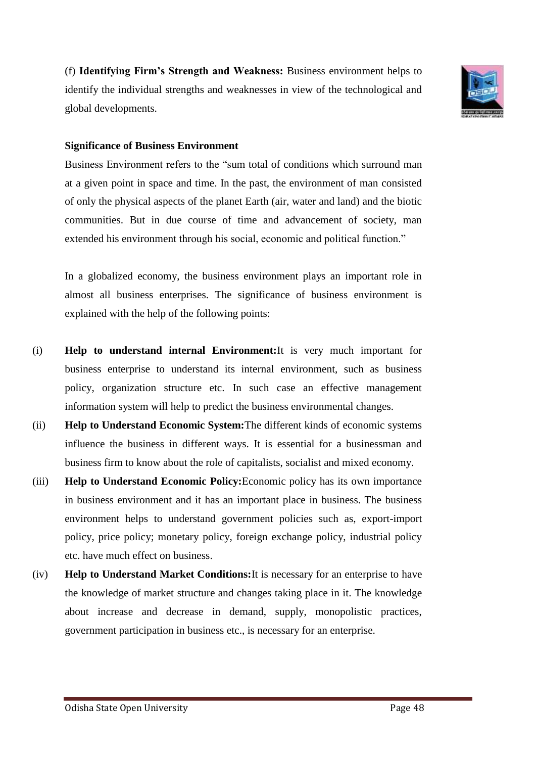

(f) **Identifying Firm's Strength and Weakness:** Business environment helps to identify the individual strengths and weaknesses in view of the technological and global developments.

## **Significance of Business Environment**

Business Environment refers to the "sum total of conditions which surround man at a given point in space and time. In the past, the environment of man consisted of only the physical aspects of the planet Earth (air, water and land) and the biotic communities. But in due course of time and advancement of society, man extended his environment through his social, economic and political function."

In a globalized economy, the business environment plays an important role in almost all business enterprises. The significance of business environment is explained with the help of the following points:

- (i) **Help to understand internal Environment:**It is very much important for business enterprise to understand its internal environment, such as business policy, organization structure etc. In such case an effective management information system will help to predict the business environmental changes.
- (ii) **Help to Understand Economic System:**The different kinds of economic systems influence the business in different ways. It is essential for a businessman and business firm to know about the role of capitalists, socialist and mixed economy.
- (iii) **Help to Understand Economic Policy:**Economic policy has its own importance in business environment and it has an important place in business. The business environment helps to understand government policies such as, export-import policy, price policy; monetary policy, foreign exchange policy, industrial policy etc. have much effect on business.
- (iv) **Help to Understand Market Conditions:**It is necessary for an enterprise to have the knowledge of market structure and changes taking place in it. The knowledge about increase and decrease in demand, supply, monopolistic practices, government participation in business etc., is necessary for an enterprise.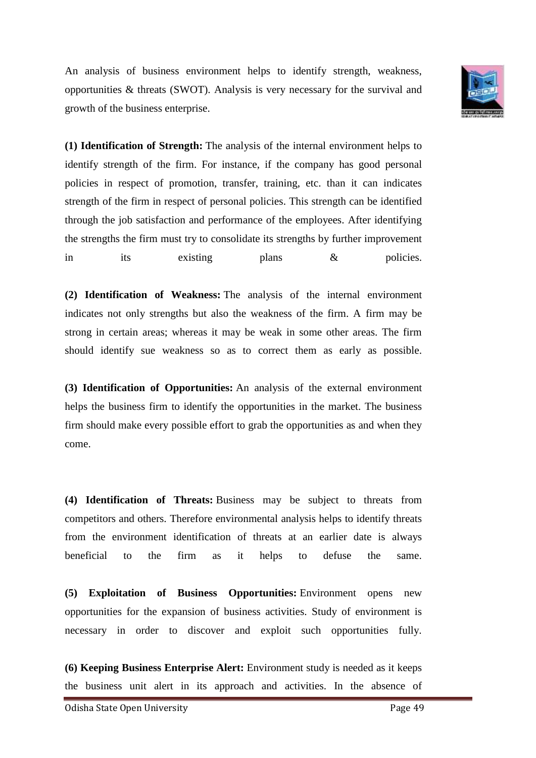

An analysis of business environment helps to identify strength, weakness, opportunities & threats (SWOT). Analysis is very necessary for the survival and growth of the business enterprise.

**(1) Identification of Strength:** The analysis of the internal environment helps to identify strength of the firm. For instance, if the company has good personal policies in respect of promotion, transfer, training, etc. than it can indicates strength of the firm in respect of personal policies. This strength can be identified through the job satisfaction and performance of the employees. After identifying the strengths the firm must try to consolidate its strengths by further improvement in its existing plans  $\&$  policies.

**(2) Identification of Weakness:** The analysis of the internal environment indicates not only strengths but also the weakness of the firm. A firm may be strong in certain areas; whereas it may be weak in some other areas. The firm should identify sue weakness so as to correct them as early as possible.

**(3) Identification of Opportunities:** An analysis of the external environment helps the business firm to identify the opportunities in the market. The business firm should make every possible effort to grab the opportunities as and when they come.

**(4) Identification of Threats:** Business may be subject to threats from competitors and others. Therefore environmental analysis helps to identify threats from the environment identification of threats at an earlier date is always beneficial to the firm as it helps to defuse the same.

**(5) Exploitation of Business Opportunities:** Environment opens new opportunities for the expansion of business activities. Study of environment is necessary in order to discover and exploit such opportunities fully.

**(6) Keeping Business Enterprise Alert:** Environment study is needed as it keeps the business unit alert in its approach and activities. In the absence of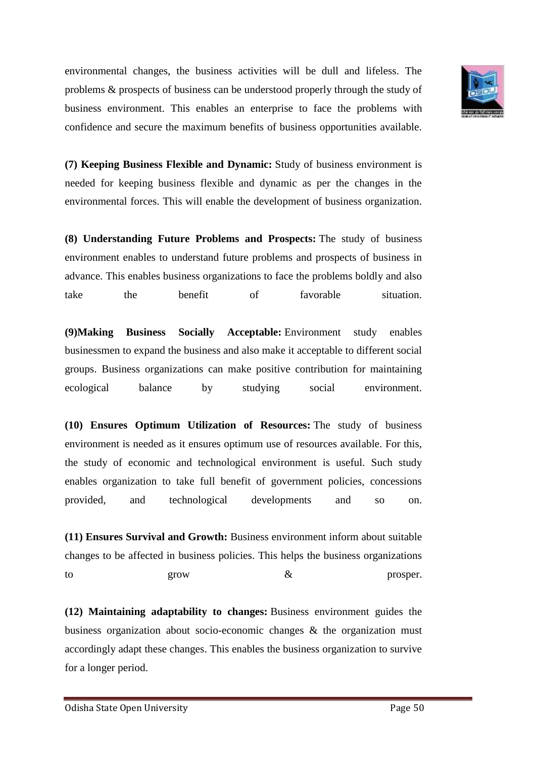

environmental changes, the business activities will be dull and lifeless. The problems & prospects of business can be understood properly through the study of business environment. This enables an enterprise to face the problems with confidence and secure the maximum benefits of business opportunities available.

**(7) Keeping Business Flexible and Dynamic:** Study of business environment is needed for keeping business flexible and dynamic as per the changes in the environmental forces. This will enable the development of business organization.

**(8) Understanding Future Problems and Prospects:** The study of business environment enables to understand future problems and prospects of business in advance. This enables business organizations to face the problems boldly and also take the benefit of favorable situation.

**(9)Making Business Socially Acceptable:** Environment study enables businessmen to expand the business and also make it acceptable to different social groups. Business organizations can make positive contribution for maintaining ecological balance by studying social environment.

**(10) Ensures Optimum Utilization of Resources:** The study of business environment is needed as it ensures optimum use of resources available. For this, the study of economic and technological environment is useful. Such study enables organization to take full benefit of government policies, concessions provided, and technological developments and so on.

**(11) Ensures Survival and Growth:** Business environment inform about suitable changes to be affected in business policies. This helps the business organizations to grow  $\&$  prosper.

**(12) Maintaining adaptability to changes:** Business environment guides the business organization about socio-economic changes & the organization must accordingly adapt these changes. This enables the business organization to survive for a longer period.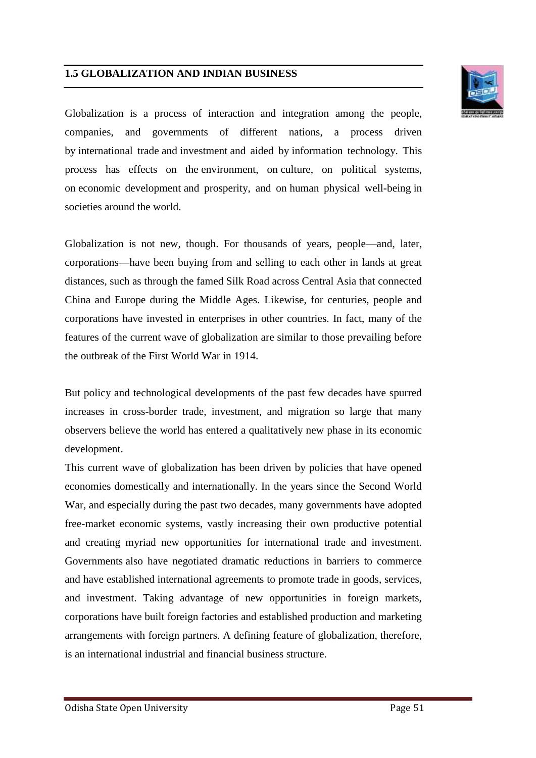## **1.5 GLOBALIZATION AND INDIAN BUSINESS**



Globalization is a process of interaction and integration among the people, companies, and governments of different nations, a process driven by [international trade](http://www.globalization101.org/category/issues-in-depth/trade/) and [investment](http://www.globalization101.org/category/issues-in-depth/investment/) and aided by [information technology.](http://www.globalization101.org/category/issues-in-depth/technology/) This process has effects on the [environment,](http://www.globalization101.org/category/issues-in-depth/environment/) on [culture,](http://www.globalization101.org/category/issues-in-depth/culture/) on political systems, on [economic development](http://www.globalization101.org/category/issues-in-depth/development/) and prosperity, and on [human physical well-being](http://www.globalization101.org/category/issues-in-depth/health/) in societies around the world.

Globalization is not new, though. For thousands of years, people—and, later, corporations—have been buying from and selling to each other in lands at great distances, such as through the famed Silk Road across Central Asia that connected China and Europe during the Middle Ages. Likewise, for centuries, people and corporations have invested in enterprises in other countries. In fact, many of the features of the current wave of globalization are similar to those prevailing before the outbreak of the First World War in 1914.

But policy and technological developments of the past few decades have spurred increases in cross-border trade, investment, and migration so large that many observers believe the world has entered a qualitatively new phase in its economic development.

This current wave of globalization has been driven by policies that have opened economies domestically and internationally. In the years since the Second World War, and especially during the past two decades, many governments have adopted free-market economic systems, vastly increasing their own productive potential and creating myriad new opportunities for international trade and investment. Governments also have negotiated dramatic reductions in barriers to commerce and have established international agreements to promote trade in goods, services, and investment. Taking advantage of new opportunities in foreign markets, corporations have built foreign factories and established production and marketing arrangements with foreign partners. A defining feature of globalization, therefore, is an international industrial and financial business structure.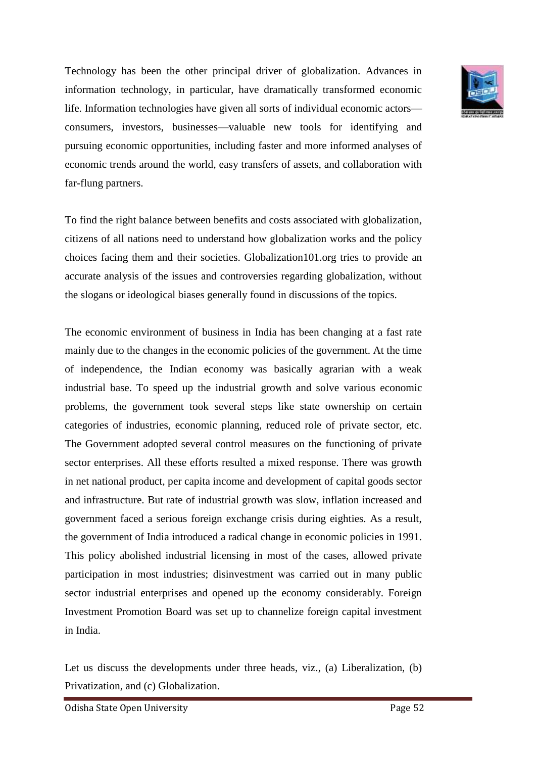

To find the right balance between benefits and costs associated with globalization, citizens of all nations need to understand how globalization works and the policy choices facing them and their societies. Globalization101.org tries to provide an accurate analysis of the issues and controversies regarding globalization, without the slogans or ideological biases generally found in discussions of the topics.

The economic environment of business in India has been changing at a fast rate mainly due to the changes in the economic policies of the government. At the time of independence, the Indian economy was basically agrarian with a weak industrial base. To speed up the industrial growth and solve various economic problems, the government took several steps like state ownership on certain categories of industries, economic planning, reduced role of private sector, etc. The Government adopted several control measures on the functioning of private sector enterprises. All these efforts resulted a mixed response. There was growth in net national product, per capita income and development of capital goods sector and infrastructure. But rate of industrial growth was slow, inflation increased and government faced a serious foreign exchange crisis during eighties. As a result, the government of India introduced a radical change in economic policies in 1991. This policy abolished industrial licensing in most of the cases, allowed private participation in most industries; disinvestment was carried out in many public sector industrial enterprises and opened up the economy considerably. Foreign Investment Promotion Board was set up to channelize foreign capital investment in India.

Let us discuss the developments under three heads, viz., (a) Liberalization, (b) Privatization, and (c) Globalization.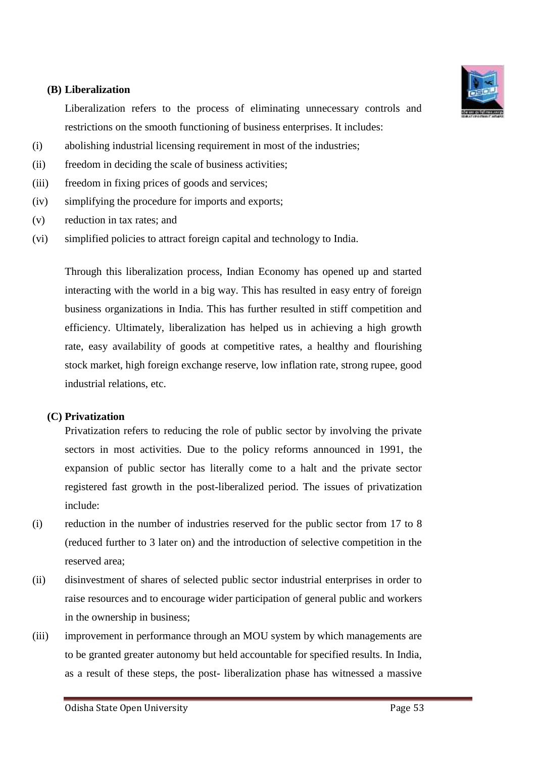#### **(B) Liberalization**

Liberalization refers to the process of eliminating unnecessary controls and restrictions on the smooth functioning of business enterprises. It includes:

- (i) abolishing industrial licensing requirement in most of the industries;
- (ii) freedom in deciding the scale of business activities;
- (iii) freedom in fixing prices of goods and services;
- (iv) simplifying the procedure for imports and exports;
- (v) reduction in tax rates; and
- (vi) simplified policies to attract foreign capital and technology to India.

Through this liberalization process, Indian Economy has opened up and started interacting with the world in a big way. This has resulted in easy entry of foreign business organizations in India. This has further resulted in stiff competition and efficiency. Ultimately, liberalization has helped us in achieving a high growth rate, easy availability of goods at competitive rates, a healthy and flourishing stock market, high foreign exchange reserve, low inflation rate, strong rupee, good industrial relations, etc.

#### **(C) Privatization**

Privatization refers to reducing the role of public sector by involving the private sectors in most activities. Due to the policy reforms announced in 1991, the expansion of public sector has literally come to a halt and the private sector registered fast growth in the post-liberalized period. The issues of privatization include:

- (i) reduction in the number of industries reserved for the public sector from 17 to 8 (reduced further to 3 later on) and the introduction of selective competition in the reserved area;
- (ii) disinvestment of shares of selected public sector industrial enterprises in order to raise resources and to encourage wider participation of general public and workers in the ownership in business;
- (iii) improvement in performance through an MOU system by which managements are to be granted greater autonomy but held accountable for specified results. In India, as a result of these steps, the post- liberalization phase has witnessed a massive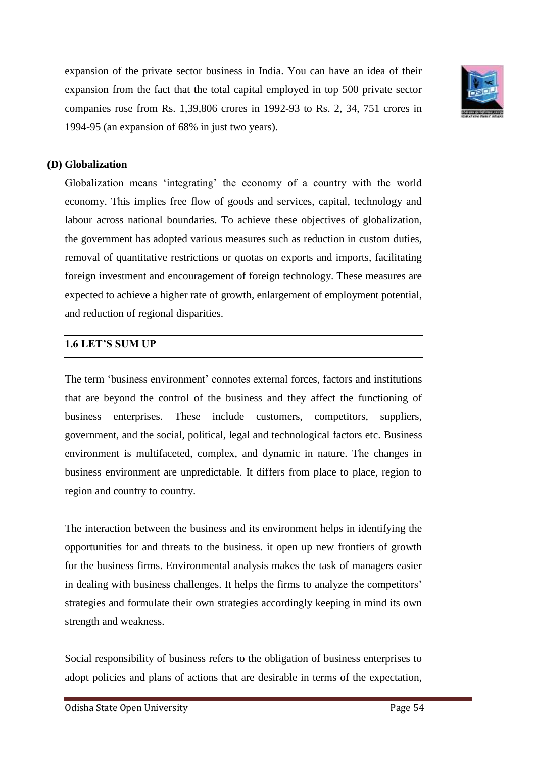expansion of the private sector business in India. You can have an idea of their expansion from the fact that the total capital employed in top 500 private sector companies rose from Rs. 1,39,806 crores in 1992-93 to Rs. 2, 34, 751 crores in 1994-95 (an expansion of 68% in just two years).



#### **(D) Globalization**

Globalization means 'integrating' the economy of a country with the world economy. This implies free flow of goods and services, capital, technology and labour across national boundaries. To achieve these objectives of globalization, the government has adopted various measures such as reduction in custom duties, removal of quantitative restrictions or quotas on exports and imports, facilitating foreign investment and encouragement of foreign technology. These measures are expected to achieve a higher rate of growth, enlargement of employment potential, and reduction of regional disparities.

#### **1.6 LET'S SUM UP**

The term 'business environment' connotes external forces, factors and institutions that are beyond the control of the business and they affect the functioning of business enterprises. These include customers, competitors, suppliers, government, and the social, political, legal and technological factors etc. Business environment is multifaceted, complex, and dynamic in nature. The changes in business environment are unpredictable. It differs from place to place, region to region and country to country.

The interaction between the business and its environment helps in identifying the opportunities for and threats to the business. it open up new frontiers of growth for the business firms. Environmental analysis makes the task of managers easier in dealing with business challenges. It helps the firms to analyze the competitors' strategies and formulate their own strategies accordingly keeping in mind its own strength and weakness.

Social responsibility of business refers to the obligation of business enterprises to adopt policies and plans of actions that are desirable in terms of the expectation,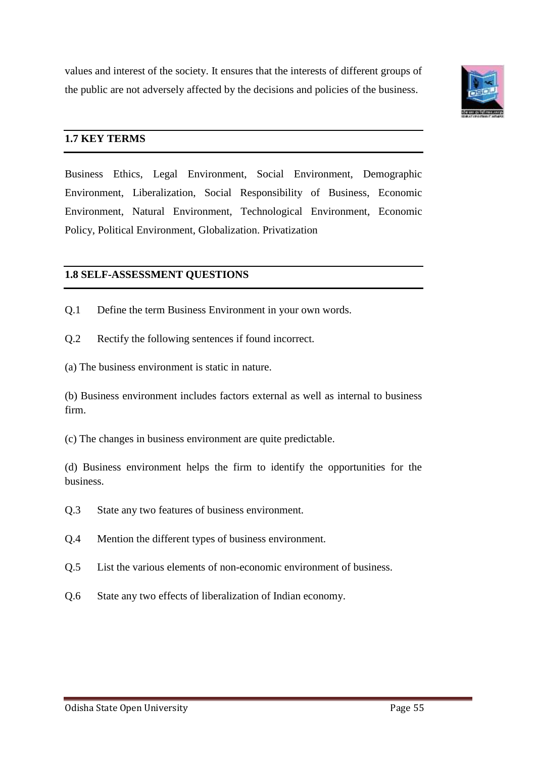

## **1.7 KEY TERMS**

Business Ethics, Legal Environment, Social Environment, Demographic Environment, Liberalization, Social Responsibility of Business, Economic Environment, Natural Environment, Technological Environment, Economic Policy, Political Environment, Globalization. Privatization

### **1.8 SELF-ASSESSMENT QUESTIONS**

- Q.1 Define the term Business Environment in your own words.
- Q.2 Rectify the following sentences if found incorrect.
- (a) The business environment is static in nature.

(b) Business environment includes factors external as well as internal to business firm.

(c) The changes in business environment are quite predictable.

(d) Business environment helps the firm to identify the opportunities for the business.

- Q.3 State any two features of business environment.
- Q.4 Mention the different types of business environment.
- Q.5 List the various elements of non-economic environment of business.
- Q.6 State any two effects of liberalization of Indian economy.